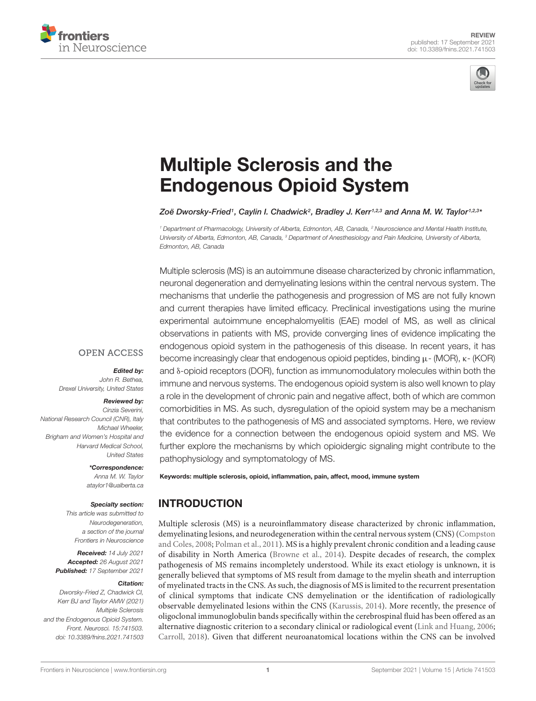



# Multiple Sclerosis and the [Endogenous Opioid System](https://www.frontiersin.org/articles/10.3389/fnins.2021.741503/full)

Zoë Dworsky-Fried1, Caylin I. Chadwick<sup>2</sup>, Bradley J. Kerr1,2,3 and Anna M. W. Taylor1,2,3<sup>,</sup>

<sup>1</sup> Department of Pharmacology, University of Alberta, Edmonton, AB, Canada, <sup>2</sup> Neuroscience and Mental Health Institute, University of Alberta, Edmonton, AB, Canada, <sup>3</sup> Department of Anesthesiology and Pain Medicine, University of Alberta, Edmonton, AB, Canada

Multiple sclerosis (MS) is an autoimmune disease characterized by chronic inflammation, neuronal degeneration and demyelinating lesions within the central nervous system. The mechanisms that underlie the pathogenesis and progression of MS are not fully known and current therapies have limited efficacy. Preclinical investigations using the murine experimental autoimmune encephalomyelitis (EAE) model of MS, as well as clinical observations in patients with MS, provide converging lines of evidence implicating the endogenous opioid system in the pathogenesis of this disease. In recent years, it has become increasingly clear that endogenous opioid peptides, binding µ- (MOR), κ- (KOR) and δ-opioid receptors (DOR), function as immunomodulatory molecules within both the immune and nervous systems. The endogenous opioid system is also well known to play a role in the development of chronic pain and negative affect, both of which are common comorbidities in MS. As such, dysregulation of the opioid system may be a mechanism that contributes to the pathogenesis of MS and associated symptoms. Here, we review the evidence for a connection between the endogenous opioid system and MS. We further explore the mechanisms by which opioidergic signaling might contribute to the pathophysiology and symptomatology of MS.

Keywords: multiple sclerosis, opioid, inflammation, pain, affect, mood, immune system

# INTRODUCTION

Multiple sclerosis (MS) is a neuroinflammatory disease characterized by chronic inflammation, demyelinating lesions, and neurodegeneration within the central nervous system (CNS) [\(Compston](#page-8-0) [and Coles,](#page-8-0) [2008;](#page-8-0) [Polman et al.,](#page-11-0) [2011\)](#page-11-0). MS is a highly prevalent chronic condition and a leading cause of disability in North America [\(Browne et al.,](#page-8-1) [2014\)](#page-8-1). Despite decades of research, the complex pathogenesis of MS remains incompletely understood. While its exact etiology is unknown, it is generally believed that symptoms of MS result from damage to the myelin sheath and interruption of myelinated tracts in the CNS. As such, the diagnosis of MS is limited to the recurrent presentation of clinical symptoms that indicate CNS demyelination or the identification of radiologically observable demyelinated lesions within the CNS [\(Karussis,](#page-10-0) [2014\)](#page-10-0). More recently, the presence of oligoclonal immunoglobulin bands specifically within the cerebrospinal fluid has been offered as an alternative diagnostic criterion to a secondary clinical or radiological event [\(Link and Huang,](#page-10-1) [2006;](#page-10-1) [Carroll,](#page-8-2) [2018\)](#page-8-2). Given that different neuroanatomical locations within the CNS can be involved

#### **OPEN ACCESS**

Edited by:

John R. Bethea, Drexel University, United States

#### Reviewed by:

Cinzia Severini, National Research Council (CNR), Italy Michael Wheeler, Brigham and Women's Hospital and Harvard Medical School, United States

#### \*Correspondence:

Anna M. W. Taylor ataylor1@ualberta.ca

#### Specialty section:

This article was submitted to Neurodegeneration, a section of the journal Frontiers in Neuroscience

Received: 14 July 2021 Accepted: 26 August 2021 Published: 17 September 2021

#### Citation:

Dworsky-Fried Z, Chadwick CI, Kerr BJ and Taylor AMW (2021) Multiple Sclerosis and the Endogenous Opioid System. Front. Neurosci. 15:741503. doi: [10.3389/fnins.2021.741503](https://doi.org/10.3389/fnins.2021.741503)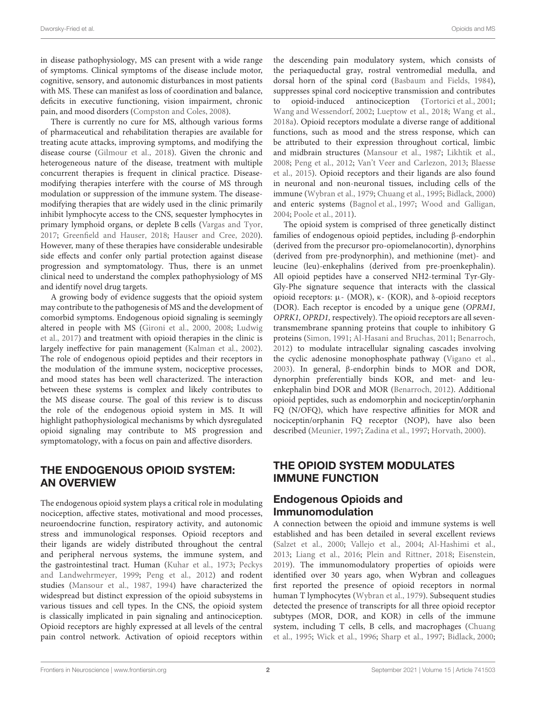in disease pathophysiology, MS can present with a wide range of symptoms. Clinical symptoms of the disease include motor, cognitive, sensory, and autonomic disturbances in most patients with MS. These can manifest as loss of coordination and balance, deficits in executive functioning, vision impairment, chronic pain, and mood disorders [\(Compston and Coles,](#page-8-0) [2008\)](#page-8-0).

There is currently no cure for MS, although various forms of pharmaceutical and rehabilitation therapies are available for treating acute attacks, improving symptoms, and modifying the disease course [\(Gilmour et al.,](#page-9-0) [2018\)](#page-9-0). Given the chronic and heterogeneous nature of the disease, treatment with multiple concurrent therapies is frequent in clinical practice. Diseasemodifying therapies interfere with the course of MS through modulation or suppression of the immune system. The diseasemodifying therapies that are widely used in the clinic primarily inhibit lymphocyte access to the CNS, sequester lymphocytes in primary lymphoid organs, or deplete B cells [\(Vargas and Tyor,](#page-12-0) [2017;](#page-12-0) [Greenfield and Hauser,](#page-9-1) [2018;](#page-9-1) [Hauser and Cree,](#page-9-2) [2020\)](#page-9-2). However, many of these therapies have considerable undesirable side effects and confer only partial protection against disease progression and symptomatology. Thus, there is an unmet clinical need to understand the complex pathophysiology of MS and identify novel drug targets.

A growing body of evidence suggests that the opioid system may contribute to the pathogenesis of MS and the development of comorbid symptoms. Endogenous opioid signaling is seemingly altered in people with MS [\(Gironi et al.,](#page-9-3) [2000,](#page-9-3) [2008;](#page-9-4) [Ludwig](#page-10-2) [et al.,](#page-10-2) [2017\)](#page-10-2) and treatment with opioid therapies in the clinic is largely ineffective for pain management [\(Kalman et al.,](#page-9-5) [2002\)](#page-9-5). The role of endogenous opioid peptides and their receptors in the modulation of the immune system, nociceptive processes, and mood states has been well characterized. The interaction between these systems is complex and likely contributes to the MS disease course. The goal of this review is to discuss the role of the endogenous opioid system in MS. It will highlight pathophysiological mechanisms by which dysregulated opioid signaling may contribute to MS progression and symptomatology, with a focus on pain and affective disorders.

### THE ENDOGENOUS OPIOID SYSTEM: AN OVERVIEW

The endogenous opioid system plays a critical role in modulating nociception, affective states, motivational and mood processes, neuroendocrine function, respiratory activity, and autonomic stress and immunological responses. Opioid receptors and their ligands are widely distributed throughout the central and peripheral nervous systems, the immune system, and the gastrointestinal tract. Human [\(Kuhar et al.,](#page-10-3) [1973;](#page-10-3) [Peckys](#page-11-1) [and Landwehrmeyer,](#page-11-1) [1999;](#page-11-1) [Peng et al.,](#page-11-2) [2012\)](#page-11-2) and rodent studies [\(Mansour et al.,](#page-10-4) [1987,](#page-10-4) [1994\)](#page-10-5) have characterized the widespread but distinct expression of the opioid subsystems in various tissues and cell types. In the CNS, the opioid system is classically implicated in pain signaling and antinociception. Opioid receptors are highly expressed at all levels of the central pain control network. Activation of opioid receptors within

the descending pain modulatory system, which consists of the periaqueductal gray, rostral ventromedial medulla, and dorsal horn of the spinal cord [\(Basbaum and Fields,](#page-8-3) [1984\)](#page-8-3), suppresses spinal cord nociceptive transmission and contributes to opioid-induced antinociception [\(Tortorici et al.,](#page-12-1) [2001;](#page-12-1) [Wang and Wessendorf,](#page-13-0) [2002;](#page-13-0) [Lueptow et al.,](#page-10-6) [2018;](#page-10-6) [Wang et al.,](#page-12-2) [2018a\)](#page-12-2). Opioid receptors modulate a diverse range of additional functions, such as mood and the stress response, which can be attributed to their expression throughout cortical, limbic and midbrain structures [\(Mansour et al.,](#page-10-4) [1987;](#page-10-4) [Likhtik et al.,](#page-10-7) [2008;](#page-10-7) [Peng et al.,](#page-11-2) [2012;](#page-11-2) [Van't Veer and Carlezon,](#page-12-3) [2013;](#page-12-3) [Blaesse](#page-8-4) [et al.,](#page-8-4) [2015\)](#page-8-4). Opioid receptors and their ligands are also found in neuronal and non-neuronal tissues, including cells of the immune [\(Wybran et al.,](#page-13-1) [1979;](#page-13-1) [Chuang et al.,](#page-8-5) [1995;](#page-8-5) [Bidlack,](#page-8-6) [2000\)](#page-8-6) and enteric systems [\(Bagnol et al.,](#page-8-7) [1997;](#page-8-7) [Wood and Galligan,](#page-13-2) [2004;](#page-13-2) [Poole et al.,](#page-11-3) [2011\)](#page-11-3).

The opioid system is comprised of three genetically distinct families of endogenous opioid peptides, including β-endorphin (derived from the precursor pro-opiomelanocortin), dynorphins (derived from pre-prodynorphin), and methionine (met)- and leucine (leu)-enkephalins (derived from pre-proenkephalin). All opioid peptides have a conserved NH2-terminal Tyr-Gly-Gly-Phe signature sequence that interacts with the classical opioid receptors: µ- (MOR), κ- (KOR), and δ-opioid receptors (DOR). Each receptor is encoded by a unique gene (OPRM1, OPRK1, OPRD1, respectively). The opioid receptors are all seventransmembrane spanning proteins that couple to inhibitory G proteins [\(Simon,](#page-12-4) [1991;](#page-12-4) [Al-Hasani and Bruchas,](#page-8-8) [2011;](#page-8-8) [Benarroch,](#page-8-9) [2012\)](#page-8-9) to modulate intracellular signaling cascades involving the cyclic adenosine monophosphate pathway [\(Vigano et al.,](#page-12-5) [2003\)](#page-12-5). In general, β-endorphin binds to MOR and DOR, dynorphin preferentially binds KOR, and met- and leuenkephalin bind DOR and MOR [\(Benarroch,](#page-8-9) [2012\)](#page-8-9). Additional opioid peptides, such as endomorphin and nociceptin/orphanin FQ (N/OFQ), which have respective affinities for MOR and nociceptin/orphanin FQ receptor (NOP), have also been described [\(Meunier,](#page-10-8) [1997;](#page-10-8) [Zadina et al.,](#page-13-3) [1997;](#page-13-3) [Horvath,](#page-9-6) [2000\)](#page-9-6).

# THE OPIOID SYSTEM MODULATES IMMUNE FUNCTION

# Endogenous Opioids and Immunomodulation

A connection between the opioid and immune systems is well established and has been detailed in several excellent reviews [\(Salzet et al.,](#page-12-6) [2000;](#page-12-6) [Vallejo et al.,](#page-12-7) [2004;](#page-12-7) [Al-Hashimi et al.,](#page-8-10) [2013;](#page-8-10) [Liang et al.,](#page-10-9) [2016;](#page-10-9) [Plein and Rittner,](#page-11-4) [2018;](#page-11-4) [Eisenstein,](#page-9-7) [2019\)](#page-9-7). The immunomodulatory properties of opioids were identified over 30 years ago, when Wybran and colleagues first reported the presence of opioid receptors in normal human T lymphocytes [\(Wybran et al.,](#page-13-1) [1979\)](#page-13-1). Subsequent studies detected the presence of transcripts for all three opioid receptor subtypes (MOR, DOR, and KOR) in cells of the immune system, including T cells, B cells, and macrophages [\(Chuang](#page-8-5) [et al.,](#page-8-5) [1995;](#page-8-5) [Wick et al.,](#page-13-4) [1996;](#page-13-4) [Sharp et al.,](#page-12-8) [1997;](#page-12-8) [Bidlack,](#page-8-6) [2000;](#page-8-6)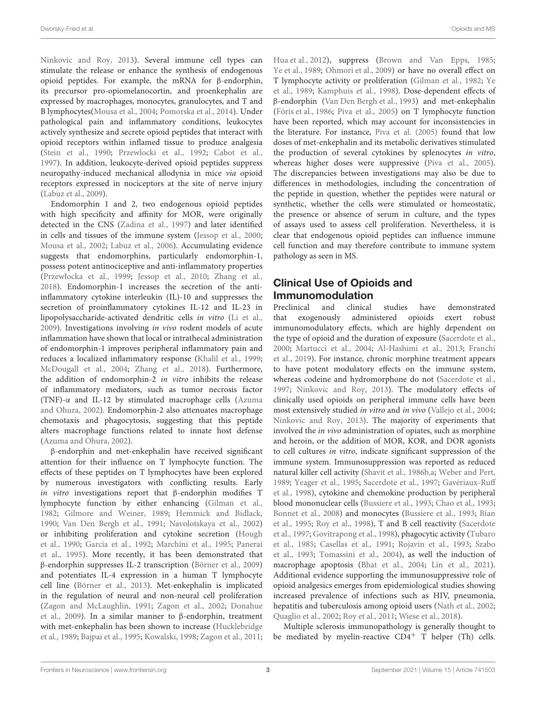[Ninkovic and Roy,](#page-11-5) [2013\)](#page-11-5). Several immune cell types can stimulate the release or enhance the synthesis of endogenous opioid peptides. For example, the mRNA for β-endorphin, its precursor pro-opiomelanocortin, and proenkephalin are expressed by macrophages, monocytes, granulocytes, and T and B lymphocytes[\(Mousa et al.,](#page-10-10) [2004;](#page-10-10) [Pomorska et al.,](#page-11-6) [2014\)](#page-11-6). Under pathological pain and inflammatory conditions, leukocytes actively synthesize and secrete opioid peptides that interact with opioid receptors within inflamed tissue to produce analgesia [\(Stein et al.,](#page-12-9) [1990;](#page-12-9) [Przewlocki et al.,](#page-11-7) [1992;](#page-11-7) [Cabot et al.,](#page-8-11) [1997\)](#page-8-11). In addition, leukocyte-derived opioid peptides suppress neuropathy-induced mechanical allodynia in mice via opioid receptors expressed in nociceptors at the site of nerve injury [\(Labuz et al.,](#page-10-11) [2009\)](#page-10-11).

Endomorphin 1 and 2, two endogenous opioid peptides with high specificity and affinity for MOR, were originally detected in the CNS [\(Zadina et al.,](#page-13-3) [1997\)](#page-13-3) and later identified in cells and tissues of the immune system [\(Jessop et al.,](#page-9-8) [2000;](#page-9-8) [Mousa et al.,](#page-10-12) [2002;](#page-10-12) [Labuz et al.,](#page-10-13) [2006\)](#page-10-13). Accumulating evidence suggests that endomorphins, particularly endomorphin-1, possess potent antinociceptive and anti-inflammatory properties [\(Przewłocka et al.,](#page-11-8) [1999;](#page-11-8) [Jessop et al.,](#page-9-9) [2010;](#page-9-9) [Zhang et al.,](#page-13-5) [2018\)](#page-13-5). Endomorphin-1 increases the secretion of the antiinflammatory cytokine interleukin (IL)-10 and suppresses the secretion of proinflammatory cytokines IL-12 and IL-23 in lipopolysaccharide-activated dendritic cells in vitro [\(Li et al.,](#page-10-14) [2009\)](#page-10-14). Investigations involving in vivo rodent models of acute inflammation have shown that local or intrathecal administration of endomorphin-1 improves peripheral inflammatory pain and reduces a localized inflammatory response [\(Khalil et al.,](#page-10-15) [1999;](#page-10-15) [McDougall et al.,](#page-10-16) [2004;](#page-10-16) [Zhang et al.,](#page-13-5) [2018\)](#page-13-5). Furthermore, the addition of endomorphin-2 in vitro inhibits the release of inflammatory mediators, such as tumor necrosis factor (TNF)-α and IL-12 by stimulated macrophage cells [\(Azuma](#page-8-12) [and Ohura,](#page-8-12) [2002\)](#page-8-12). Endomorphin-2 also attenuates macrophage chemotaxis and phagocytosis, suggesting that this peptide alters macrophage functions related to innate host defense [\(Azuma and Ohura,](#page-8-12) [2002\)](#page-8-12).

β-endorphin and met-enkephalin have received significant attention for their influence on T lymphocyte function. The effects of these peptides on T lymphocytes have been explored by numerous investigators with conflicting results. Early *in vitro* investigations report that  $\beta$ -endorphin modifies T lymphocyte function by either enhancing [\(Gilman et al.,](#page-9-10) [1982;](#page-9-10) [Gilmore and Weiner,](#page-9-11) [1989;](#page-9-11) [Hemmick and Bidlack,](#page-9-12) [1990;](#page-9-12) [Van Den Bergh et al.,](#page-12-10) [1991;](#page-12-10) [Navolotskaya et al.,](#page-11-9) [2002\)](#page-11-9) or inhibiting proliferation and cytokine secretion [\(Hough](#page-9-13) [et al.,](#page-9-13) [1990;](#page-9-13) [Garcia et al.,](#page-9-14) [1992;](#page-9-14) [Marchini et al.,](#page-10-17) [1995;](#page-10-17) [Panerai](#page-11-10) [et al.,](#page-11-10) [1995\)](#page-11-10). More recently, it has been demonstrated that β-endorphin suppresses IL-2 transcription [\(Börner et al.,](#page-8-13) [2009\)](#page-8-13) and potentiates IL-4 expression in a human T lymphocyte cell line [\(Börner et al.,](#page-8-14) [2013\)](#page-8-14). Met-enkephalin is implicated in the regulation of neural and non-neural cell proliferation [\(Zagon and McLaughlin,](#page-13-6) [1991;](#page-13-6) [Zagon et al.,](#page-13-7) [2002;](#page-13-7) [Donahue](#page-8-15) [et al.,](#page-8-15) [2009\)](#page-8-15). In a similar manner to β-endorphin, treatment with met-enkephalin has been shown to increase [\(Hucklebridge](#page-9-15) [et al.,](#page-9-15) [1989;](#page-9-15) [Bajpai et al.,](#page-8-16) [1995;](#page-8-16) [Kowalski,](#page-10-18) [1998;](#page-10-18) [Zagon et al.,](#page-13-8) [2011;](#page-13-8)

[Hua et al.,](#page-9-16) [2012\)](#page-9-16), suppress [\(Brown and Van Epps,](#page-8-17) [1985;](#page-8-17) [Ye et al.,](#page-13-9) [1989;](#page-13-9) [Ohmori et al.,](#page-11-11) [2009\)](#page-11-11) or have no overall effect on T lymphocyte activity or proliferation [\(Gilman et al.,](#page-9-10) [1982;](#page-9-10) [Ye](#page-13-9) [et al.,](#page-13-9) [1989;](#page-13-9) [Kamphuis et al.,](#page-9-17) [1998\)](#page-9-17). Dose-dependent effects of β-endorphin [\(Van Den Bergh et al.,](#page-12-11) [1993\)](#page-12-11) and met-enkephalin [\(Fóris et al.,](#page-9-18) [1986;](#page-9-18) [Piva et al.,](#page-11-12) [2005\)](#page-11-12) on T lymphocyte function have been reported, which may account for inconsistencies in the literature. For instance, [Piva et al.](#page-11-12) [\(2005\)](#page-11-12) found that low doses of met-enkephalin and its metabolic derivatives stimulated the production of several cytokines by splenocytes in vitro, whereas higher doses were suppressive [\(Piva et al.,](#page-11-12) [2005\)](#page-11-12). The discrepancies between investigations may also be due to differences in methodologies, including the concentration of the peptide in question, whether the peptides were natural or synthetic, whether the cells were stimulated or homeostatic, the presence or absence of serum in culture, and the types of assays used to assess cell proliferation. Nevertheless, it is clear that endogenous opioid peptides can influence immune cell function and may therefore contribute to immune system pathology as seen in MS.

# Clinical Use of Opioids and Immunomodulation

Preclinical and clinical studies have demonstrated that exogenously administered opioids exert robust immunomodulatory effects, which are highly dependent on the type of opioid and the duration of exposure [\(Sacerdote et al.,](#page-12-12) [2000;](#page-12-12) [Martucci et al.,](#page-10-19) [2004;](#page-10-19) [Al-Hashimi et al.,](#page-8-10) [2013;](#page-8-10) [Franchi](#page-9-19) [et al.,](#page-9-19) [2019\)](#page-9-19). For instance, chronic morphine treatment appears to have potent modulatory effects on the immune system, whereas codeine and hydromorphone do not [\(Sacerdote et al.,](#page-12-13) [1997;](#page-12-13) [Ninkovic and Roy,](#page-11-5) [2013\)](#page-11-5). The modulatory effects of clinically used opioids on peripheral immune cells have been most extensively studied in vitro and in vivo [\(Vallejo et al.,](#page-12-7) [2004;](#page-12-7) [Ninkovic and Roy,](#page-11-5) [2013\)](#page-11-5). The majority of experiments that involved the in vivo administration of opiates, such as morphine and heroin, or the addition of MOR, KOR, and DOR agonists to cell cultures in vitro, indicate significant suppression of the immune system. Immunosuppression was reported as reduced natural killer cell activity [\(Shavit et al.,](#page-12-14) [1986b,](#page-12-14)[a;](#page-12-15) [Weber and Pert,](#page-13-10) [1989;](#page-13-10) [Yeager et al.,](#page-13-11) [1995;](#page-13-11) [Sacerdote et al.,](#page-12-13) [1997;](#page-12-13) [Gavériaux-Ruff](#page-9-20) [et al.,](#page-9-20) [1998\)](#page-9-20), cytokine and chemokine production by peripheral blood mononuclear cells [\(Bussiere et al.,](#page-8-18) [1993;](#page-8-18) [Chao et al.,](#page-8-19) [1993;](#page-8-19) [Bonnet et al.,](#page-8-20) [2008\)](#page-8-20) and monocytes [\(Bussiere et al.,](#page-8-18) [1993;](#page-8-18) [Bian](#page-8-21) [et al.,](#page-8-21) [1995;](#page-8-21) [Roy et al.,](#page-12-16) [1998\)](#page-12-16), T and B cell reactivity [\(Sacerdote](#page-12-13) [et al.,](#page-12-13) [1997;](#page-12-13) [Govitrapong et al.,](#page-9-21) [1998\)](#page-9-21), phagocytic activity [\(Tubaro](#page-12-17) [et al.,](#page-12-17) [1985;](#page-12-17) [Casellas et al.,](#page-8-22) [1991;](#page-8-22) [Rojavin et al.,](#page-12-18) [1993;](#page-12-18) [Szabo](#page-12-19) [et al.,](#page-12-19) [1993;](#page-12-19) [Tomassini et al.,](#page-12-20) [2004\)](#page-12-20), as well the induction of macrophage apoptosis [\(Bhat et al.,](#page-8-23) [2004;](#page-8-23) [Lin et al.,](#page-10-20) [2021\)](#page-10-20). Additional evidence supporting the immunosuppressive role of opioid analgesics emerges from epidemiological studies showing increased prevalence of infections such as HIV, pneumonia, hepatitis and tuberculosis among opioid users [\(Nath et al.,](#page-11-13) [2002;](#page-11-13) [Quaglio et al.,](#page-11-14) [2002;](#page-11-14) [Roy et al.,](#page-12-21) [2011;](#page-12-21) [Wiese et al.,](#page-13-12) [2018\)](#page-13-12).

Multiple sclerosis immunopathology is generally thought to be mediated by myelin-reactive  $CD4^+$  T helper (Th) cells.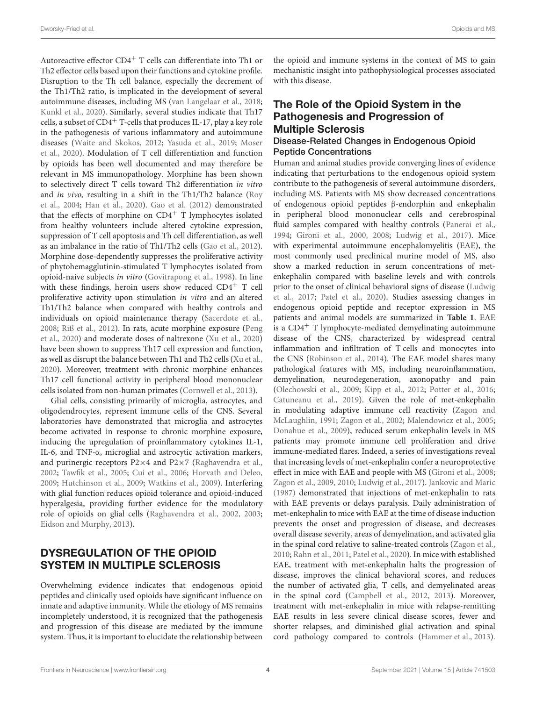Autoreactive effector CD4<sup>+</sup> T cells can differentiate into Th1 or Th2 effector cells based upon their functions and cytokine profile. Disruption to the Th cell balance, especially the decrement of the Th1/Th2 ratio, is implicated in the development of several autoimmune diseases, including MS [\(van Langelaar et al.,](#page-12-22) [2018;](#page-12-22) [Kunkl et al.,](#page-10-21) [2020\)](#page-10-21). Similarly, several studies indicate that Th17 cells, a subset of CD4<sup>+</sup> T-cells that produces IL-17, play a key role in the pathogenesis of various inflammatory and autoimmune diseases [\(Waite and Skokos,](#page-12-23) [2012;](#page-12-23) [Yasuda et al.,](#page-13-13) [2019;](#page-13-13) [Moser](#page-10-22) [et al.,](#page-10-22) [2020\)](#page-10-22). Modulation of T cell differentiation and function by opioids has been well documented and may therefore be relevant in MS immunopathology. Morphine has been shown to selectively direct T cells toward Th2 differentiation in vitro and in vivo, resulting in a shift in the Th1/Th2 balance [\(Roy](#page-12-24) [et al.,](#page-12-24) [2004;](#page-12-24) [Han et al.,](#page-9-22) [2020\)](#page-9-22). [Gao et al.](#page-9-23) [\(2012\)](#page-9-23) demonstrated that the effects of morphine on  $CD4^+$  T lymphocytes isolated from healthy volunteers include altered cytokine expression, suppression of T cell apoptosis and Th cell differentiation, as well as an imbalance in the ratio of Th1/Th2 cells [\(Gao et al.,](#page-9-23) [2012\)](#page-9-23). Morphine dose-dependently suppresses the proliferative activity of phytohemagglutinin-stimulated T lymphocytes isolated from opioid-naive subjects in vitro [\(Govitrapong et al.,](#page-9-21) [1998\)](#page-9-21). In line with these findings, heroin users show reduced  $CD4^+$  T cell proliferative activity upon stimulation in vitro and an altered Th1/Th2 balance when compared with healthy controls and individuals on opioid maintenance therapy [\(Sacerdote et al.,](#page-12-25) [2008;](#page-12-25) [Riß et al.,](#page-12-26) [2012\)](#page-12-26). In rats, acute morphine exposure [\(Peng](#page-11-15) [et al.,](#page-11-15) [2020\)](#page-11-15) and moderate doses of naltrexone [\(Xu et al.,](#page-13-14) [2020\)](#page-13-14) have been shown to suppress Th17 cell expression and function, as well as disrupt the balance between Th1 and Th2 cells [\(Xu et al.,](#page-13-14) [2020\)](#page-13-14). Moreover, treatment with chronic morphine enhances Th17 cell functional activity in peripheral blood mononuclear cells isolated from non-human primates [\(Cornwell et al.,](#page-8-24) [2013\)](#page-8-24).

Glial cells, consisting primarily of microglia, astrocytes, and oligodendrocytes, represent immune cells of the CNS. Several laboratories have demonstrated that microglia and astrocytes become activated in response to chronic morphine exposure, inducing the upregulation of proinflammatory cytokines IL-1, IL-6, and TNF-α, microglial and astrocytic activation markers, and purinergic receptors P2×4 and P2×7 [\(Raghavendra et al.,](#page-11-16) [2002;](#page-11-16) [Tawfik et al.,](#page-12-27) [2005;](#page-12-27) [Cui et al.,](#page-8-25) [2006;](#page-8-25) [Horvath and Deleo,](#page-9-24) [2009;](#page-9-24) [Hutchinson et al.,](#page-9-25) [2009;](#page-9-25) [Watkins et al.,](#page-13-15) [2009\)](#page-13-15). Interfering with glial function reduces opioid tolerance and opioid-induced hyperalgesia, providing further evidence for the modulatory role of opioids on glial cells [\(Raghavendra et al.,](#page-11-16) [2002,](#page-11-16) [2003;](#page-11-17) [Eidson and Murphy,](#page-9-26) [2013\)](#page-9-26).

# DYSREGULATION OF THE OPIOID SYSTEM IN MULTIPLE SCLEROSIS

Overwhelming evidence indicates that endogenous opioid peptides and clinically used opioids have significant influence on innate and adaptive immunity. While the etiology of MS remains incompletely understood, it is recognized that the pathogenesis and progression of this disease are mediated by the immune system. Thus, it is important to elucidate the relationship between

the opioid and immune systems in the context of MS to gain mechanistic insight into pathophysiological processes associated with this disease.

# The Role of the Opioid System in the Pathogenesis and Progression of Multiple Sclerosis

#### Disease-Related Changes in Endogenous Opioid Peptide Concentrations

Human and animal studies provide converging lines of evidence indicating that perturbations to the endogenous opioid system contribute to the pathogenesis of several autoimmune disorders, including MS. Patients with MS show decreased concentrations of endogenous opioid peptides β-endorphin and enkephalin in peripheral blood mononuclear cells and cerebrospinal fluid samples compared with healthy controls [\(Panerai et al.,](#page-11-18) [1994;](#page-11-18) [Gironi et al.,](#page-9-3) [2000,](#page-9-3) [2008;](#page-9-4) [Ludwig et al.,](#page-10-2) [2017\)](#page-10-2). Mice with experimental autoimmune encephalomyelitis (EAE), the most commonly used preclinical murine model of MS, also show a marked reduction in serum concentrations of metenkephalin compared with baseline levels and with controls prior to the onset of clinical behavioral signs of disease [\(Ludwig](#page-10-2) [et al.,](#page-10-2) [2017;](#page-10-2) [Patel et al.,](#page-11-19) [2020\)](#page-11-19). Studies assessing changes in endogenous opioid peptide and receptor expression in MS patients and animal models are summarized in **[Table 1](#page-4-0)**. EAE is a  $CD4^+$  T lymphocyte-mediated demyelinating autoimmune disease of the CNS, characterized by widespread central inflammation and infiltration of T cells and monocytes into the CNS [\(Robinson et al.,](#page-12-28) [2014\)](#page-12-28). The EAE model shares many pathological features with MS, including neuroinflammation, demyelination, neurodegeneration, axonopathy and pain [\(Olechowski et al.,](#page-11-20) [2009;](#page-11-20) [Kipp et al.,](#page-10-23) [2012;](#page-10-23) [Potter et al.,](#page-11-21) [2016;](#page-11-21) [Catuneanu et al.,](#page-8-26) [2019\)](#page-8-26). Given the role of met-enkephalin in modulating adaptive immune cell reactivity [\(Zagon and](#page-13-6) [McLaughlin,](#page-13-6) [1991;](#page-13-6) [Zagon et al.,](#page-13-7) [2002;](#page-13-7) [Malendowicz et al.,](#page-10-24) [2005;](#page-10-24) [Donahue et al.,](#page-8-15) [2009\)](#page-8-15), reduced serum enkephalin levels in MS patients may promote immune cell proliferation and drive immune-mediated flares. Indeed, a series of investigations reveal that increasing levels of met-enkephalin confer a neuroprotective effect in mice with EAE and people with MS [\(Gironi et al.,](#page-9-4) [2008;](#page-9-4) [Zagon et al.,](#page-13-16) [2009,](#page-13-16) [2010;](#page-13-17) [Ludwig et al.,](#page-10-2) [2017\)](#page-10-2). [Jankovic and Maric](#page-9-27) [\(1987\)](#page-9-27) demonstrated that injections of met-enkephalin to rats with EAE prevents or delays paralysis. Daily administration of met-enkephalin to mice with EAE at the time of disease induction prevents the onset and progression of disease, and decreases overall disease severity, areas of demyelination, and activated glia in the spinal cord relative to saline-treated controls [\(Zagon et al.,](#page-13-17) [2010;](#page-13-17) [Rahn et al.,](#page-11-22) [2011;](#page-11-22) [Patel et al.,](#page-11-19) [2020\)](#page-11-19). In mice with established EAE, treatment with met-enkephalin halts the progression of disease, improves the clinical behavioral scores, and reduces the number of activated glia, T cells, and demyelinated areas in the spinal cord [\(Campbell et al.,](#page-8-27) [2012,](#page-8-27) [2013\)](#page-8-28). Moreover, treatment with met-enkephalin in mice with relapse-remitting EAE results in less severe clinical disease scores, fewer and shorter relapses, and diminished glial activation and spinal cord pathology compared to controls [\(Hammer et al.,](#page-9-28) [2013\)](#page-9-28).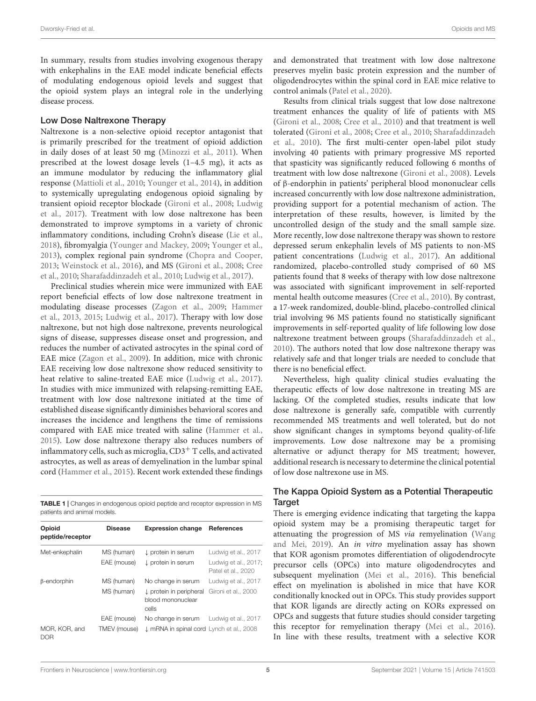In summary, results from studies involving exogenous therapy with enkephalins in the EAE model indicate beneficial effects of modulating endogenous opioid levels and suggest that the opioid system plays an integral role in the underlying disease process.

#### Low Dose Naltrexone Therapy

Naltrexone is a non-selective opioid receptor antagonist that is primarily prescribed for the treatment of opioid addiction in daily doses of at least 50 mg [\(Minozzi et al.,](#page-10-25) [2011\)](#page-10-25). When prescribed at the lowest dosage levels (1–4.5 mg), it acts as an immune modulator by reducing the inflammatory glial response [\(Mattioli et al.,](#page-10-26) [2010;](#page-10-26) [Younger et al.,](#page-13-18) [2014\)](#page-13-18), in addition to systemically upregulating endogenous opioid signaling by transient opioid receptor blockade [\(Gironi et al.,](#page-9-4) [2008;](#page-9-4) [Ludwig](#page-10-2) [et al.,](#page-10-2) [2017\)](#page-10-2). Treatment with low dose naltrexone has been demonstrated to improve symptoms in a variety of chronic inflammatory conditions, including Crohn's disease [\(Lie et al.,](#page-10-27) [2018\)](#page-10-27), fibromyalgia [\(Younger and Mackey,](#page-13-19) [2009;](#page-13-19) [Younger et al.,](#page-13-20) [2013\)](#page-13-20), complex regional pain syndrome [\(Chopra and Cooper,](#page-8-29) [2013;](#page-8-29) [Weinstock et al.,](#page-13-21) [2016\)](#page-13-21), and MS [\(Gironi et al.,](#page-9-4) [2008;](#page-9-4) [Cree](#page-8-30) [et al.,](#page-8-30) [2010;](#page-8-30) [Sharafaddinzadeh et al.,](#page-12-29) [2010;](#page-12-29) [Ludwig et al.,](#page-10-2) [2017\)](#page-10-2).

Preclinical studies wherein mice were immunized with EAE report beneficial effects of low dose naltrexone treatment in modulating disease processes [\(Zagon et al.,](#page-13-16) [2009;](#page-13-16) [Hammer](#page-9-28) [et al.,](#page-9-28) [2013,](#page-9-28) [2015;](#page-9-29) [Ludwig et al.,](#page-10-2) [2017\)](#page-10-2). Therapy with low dose naltrexone, but not high dose naltrexone, prevents neurological signs of disease, suppresses disease onset and progression, and reduces the number of activated astrocytes in the spinal cord of EAE mice [\(Zagon et al.,](#page-13-16) [2009\)](#page-13-16). In addition, mice with chronic EAE receiving low dose naltrexone show reduced sensitivity to heat relative to saline-treated EAE mice [\(Ludwig et al.,](#page-10-2) [2017\)](#page-10-2). In studies with mice immunized with relapsing-remitting EAE, treatment with low dose naltrexone initiated at the time of established disease significantly diminishes behavioral scores and increases the incidence and lengthens the time of remissions compared with EAE mice treated with saline [\(Hammer et al.,](#page-9-29) [2015\)](#page-9-29). Low dose naltrexone therapy also reduces numbers of inflammatory cells, such as microglia,  $CD3<sup>+</sup>$  T cells, and activated astrocytes, as well as areas of demyelination in the lumbar spinal cord [\(Hammer et al.,](#page-9-29) [2015\)](#page-9-29). Recent work extended these findings

<span id="page-4-0"></span>TABLE 1 | Changes in endogenous opioid peptide and receptor expression in MS patients and animal models.

| Opioid<br>peptide/receptor  | <b>Disease</b>              | <b>Expression change</b>                                                               | <b>References</b>                                                 |
|-----------------------------|-----------------------------|----------------------------------------------------------------------------------------|-------------------------------------------------------------------|
| Met-enkephalin              | MS (human)<br>EAE (mouse)   | $\downarrow$ protein in serum<br>↓ protein in serum                                    | Ludwig et al., 2017<br>Ludwig et al., 2017;<br>Patel et al., 2020 |
| $\beta$ -endorphin          | MS (human)<br>MS (human)    | No change in serum<br>$\downarrow$ protein in peripheral<br>blood mononuclear<br>cells | Ludwig et al., 2017<br>Gironi et al., 2000                        |
| MOR, KOR, and<br><b>DOR</b> | EAE (mouse)<br>TMEV (mouse) | No change in serum<br>J mRNA in spinal cord Lynch et al., 2008                         | Ludwig et al., 2017                                               |

and demonstrated that treatment with low dose naltrexone preserves myelin basic protein expression and the number of oligodendrocytes within the spinal cord in EAE mice relative to control animals [\(Patel et al.,](#page-11-19) [2020\)](#page-11-19).

Results from clinical trials suggest that low dose naltrexone treatment enhances the quality of life of patients with MS [\(Gironi et al.,](#page-9-4) [2008;](#page-9-4) [Cree et al.,](#page-8-30) [2010\)](#page-8-30) and that treatment is well tolerated [\(Gironi et al.,](#page-9-4) [2008;](#page-9-4) [Cree et al.,](#page-8-30) [2010;](#page-8-30) [Sharafaddinzadeh](#page-12-29) [et al.,](#page-12-29) [2010\)](#page-12-29). The first multi-center open-label pilot study involving 40 patients with primary progressive MS reported that spasticity was significantly reduced following 6 months of treatment with low dose naltrexone [\(Gironi et al.,](#page-9-4) [2008\)](#page-9-4). Levels of β-endorphin in patients' peripheral blood mononuclear cells increased concurrently with low dose naltrexone administration, providing support for a potential mechanism of action. The interpretation of these results, however, is limited by the uncontrolled design of the study and the small sample size. More recently, low dose naltrexone therapy was shown to restore depressed serum enkephalin levels of MS patients to non-MS patient concentrations [\(Ludwig et al.,](#page-10-2) [2017\)](#page-10-2). An additional randomized, placebo-controlled study comprised of 60 MS patients found that 8 weeks of therapy with low dose naltrexone was associated with significant improvement in self-reported mental health outcome measures [\(Cree et al.,](#page-8-30) [2010\)](#page-8-30). By contrast, a 17-week randomized, double-blind, placebo-controlled clinical trial involving 96 MS patients found no statistically significant improvements in self-reported quality of life following low dose naltrexone treatment between groups [\(Sharafaddinzadeh et al.,](#page-12-29) [2010\)](#page-12-29). The authors noted that low dose naltrexone therapy was relatively safe and that longer trials are needed to conclude that there is no beneficial effect.

Nevertheless, high quality clinical studies evaluating the therapeutic effects of low dose naltrexone in treating MS are lacking. Of the completed studies, results indicate that low dose naltrexone is generally safe, compatible with currently recommended MS treatments and well tolerated, but do not show significant changes in symptoms beyond quality-of-life improvements. Low dose naltrexone may be a promising alternative or adjunct therapy for MS treatment; however, additional research is necessary to determine the clinical potential of low dose naltrexone use in MS.

#### The Kappa Opioid System as a Potential Therapeutic Target

There is emerging evidence indicating that targeting the kappa opioid system may be a promising therapeutic target for attenuating the progression of MS via remyelination [\(Wang](#page-12-30) [and Mei,](#page-12-30) [2019\)](#page-12-30). An in vitro myelination assay has shown that KOR agonism promotes differentiation of oligodendrocyte precursor cells (OPCs) into mature oligodendrocytes and subsequent myelination [\(Mei et al.,](#page-10-29) [2016\)](#page-10-29). This beneficial effect on myelination is abolished in mice that have KOR conditionally knocked out in OPCs. This study provides support that KOR ligands are directly acting on KORs expressed on OPCs and suggests that future studies should consider targeting this receptor for remyelination therapy [\(Mei et al.,](#page-10-29) [2016\)](#page-10-29). In line with these results, treatment with a selective KOR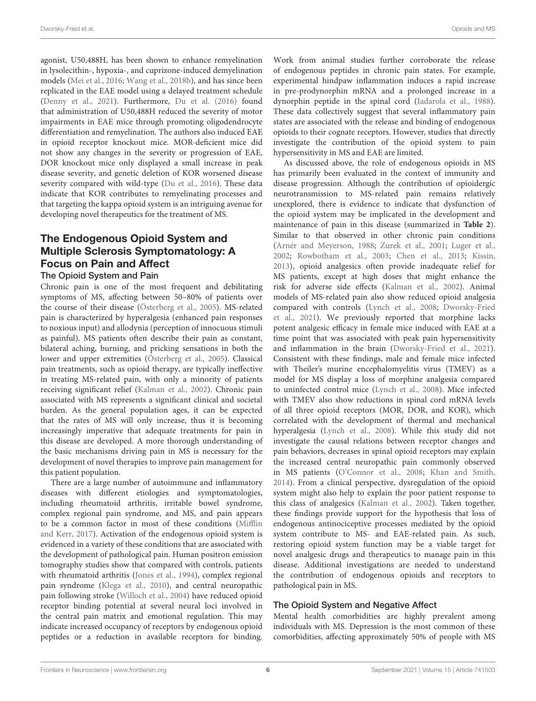agonist, U50,488H, has been shown to enhance remyelination in lysolecithin-, hypoxia-, and cuprizone-induced demyelination models [\(Mei et al.,](#page-10-29) [2016;](#page-10-29) [Wang et al.,](#page-13-22) [2018b\)](#page-13-22), and has since been replicated in the EAE model using a delayed treatment schedule [\(Denny et al.,](#page-8-31) [2021\)](#page-8-31). Furthermore, [Du et al.](#page-8-32) [\(2016\)](#page-8-32) found that administration of U50,488H reduced the severity of motor impairments in EAE mice through promoting oligodendrocyte differentiation and remyelination. The authors also induced EAE in opioid receptor knockout mice. MOR-deficient mice did not show any changes in the severity or progression of EAE, DOR knockout mice only displayed a small increase in peak disease severity, and genetic deletion of KOR worsened disease severity compared with wild-type [\(Du et al.,](#page-8-32) [2016\)](#page-8-32). These data indicate that KOR contributes to remyelinating processes and that targeting the kappa opioid system is an intriguing avenue for developing novel therapeutics for the treatment of MS.

### The Endogenous Opioid System and Multiple Sclerosis Symptomatology: A Focus on Pain and Affect The Opioid System and Pain

Chronic pain is one of the most frequent and debilitating symptoms of MS, affecting between 50–80% of patients over the course of their disease [\(Österberg et al.,](#page-11-23) [2005\)](#page-11-23). MS-related pain is characterized by hyperalgesia (enhanced pain responses to noxious input) and allodynia (perception of innocuous stimuli as painful). MS patients often describe their pain as constant, bilateral aching, burning, and pricking sensations in both the lower and upper extremities [\(Österberg et al.,](#page-11-23) [2005\)](#page-11-23). Classical pain treatments, such as opioid therapy, are typically ineffective in treating MS-related pain, with only a minority of patients receiving significant relief [\(Kalman et al.,](#page-9-5) [2002\)](#page-9-5). Chronic pain associated with MS represents a significant clinical and societal burden. As the general population ages, it can be expected that the rates of MS will only increase, thus it is becoming increasingly imperative that adequate treatments for pain in this disease are developed. A more thorough understanding of the basic mechanisms driving pain in MS is necessary for the development of novel therapies to improve pain management for this patient population.

There are a large number of autoimmune and inflammatory diseases with different etiologies and symptomatologies, including rheumatoid arthritis, irritable bowel syndrome, complex regional pain syndrome, and MS, and pain appears to be a common factor in most of these conditions [\(Mifflin](#page-10-30) [and Kerr,](#page-10-30) [2017\)](#page-10-30). Activation of the endogenous opioid system is evidenced in a variety of these conditions that are associated with the development of pathological pain. Human positron emission tomography studies show that compared with controls, patients with rheumatoid arthritis [\(Jones et al.,](#page-9-30) [1994\)](#page-9-30), complex regional pain syndrome [\(Klega et al.,](#page-10-31) [2010\)](#page-10-31), and central neuropathic pain following stroke [\(Willoch et al.,](#page-13-23) [2004\)](#page-13-23) have reduced opioid receptor binding potential at several neural loci involved in the central pain matrix and emotional regulation. This may indicate increased occupancy of receptors by endogenous opioid peptides or a reduction in available receptors for binding.

Work from animal studies further corroborate the release of endogenous peptides in chronic pain states. For example, experimental hindpaw inflammation induces a rapid increase in pre-prodynorphin mRNA and a prolonged increase in a dynorphin peptide in the spinal cord [\(Iadarola et al.,](#page-9-31) [1988\)](#page-9-31). These data collectively suggest that several inflammatory pain states are associated with the release and binding of endogenous opioids to their cognate receptors. However, studies that directly investigate the contribution of the opioid system to pain hypersensitivity in MS and EAE are limited.

As discussed above, the role of endogenous opioids in MS has primarily been evaluated in the context of immunity and disease progression. Although the contribution of opioidergic neurotransmission to MS-related pain remains relatively unexplored, there is evidence to indicate that dysfunction of the opioid system may be implicated in the development and maintenance of pain in this disease (summarized in **[Table 2](#page-6-0)**). Similar to that observed in other chronic pain conditions [\(Arnér and Meyerson,](#page-8-33) [1988;](#page-8-33) [Zurek et al.,](#page-13-24) [2001;](#page-13-24) [Luger et al.,](#page-10-32) [2002;](#page-10-32) [Rowbotham et al.,](#page-12-31) [2003;](#page-12-31) [Chen et al.,](#page-8-34) [2013;](#page-8-34) [Kissin,](#page-10-33) [2013\)](#page-10-33), opioid analgesics often provide inadequate relief for MS patients, except at high doses that might enhance the risk for adverse side effects [\(Kalman et al.,](#page-9-5) [2002\)](#page-9-5). Animal models of MS-related pain also show reduced opioid analgesia compared with controls [\(Lynch et al.,](#page-10-28) [2008;](#page-10-28) [Dworsky-Fried](#page-8-35) [et al.,](#page-8-35) [2021\)](#page-8-35). We previously reported that morphine lacks potent analgesic efficacy in female mice induced with EAE at a time point that was associated with peak pain hypersensitivity and inflammation in the brain [\(Dworsky-Fried et al.,](#page-8-35) [2021\)](#page-8-35). Consistent with these findings, male and female mice infected with Theiler's murine encephalomyelitis virus (TMEV) as a model for MS display a loss of morphine analgesia compared to uninfected control mice [\(Lynch et al.,](#page-10-28) [2008\)](#page-10-28). Mice infected with TMEV also show reductions in spinal cord mRNA levels of all three opioid receptors (MOR, DOR, and KOR), which correlated with the development of thermal and mechanical hyperalgesia [\(Lynch et al.,](#page-10-28) [2008\)](#page-10-28). While this study did not investigate the causal relations between receptor changes and pain behaviors, decreases in spinal opioid receptors may explain the increased central neuropathic pain commonly observed in MS patients [\(O'Connor et al.,](#page-11-24) [2008;](#page-11-24) [Khan and Smith,](#page-10-34) [2014\)](#page-10-34). From a clinical perspective, dysregulation of the opioid system might also help to explain the poor patient response to this class of analgesics [\(Kalman et al.,](#page-9-5) [2002\)](#page-9-5). Taken together, these findings provide support for the hypothesis that loss of endogenous antinociceptive processes mediated by the opioid system contribute to MS- and EAE-related pain. As such, restoring opioid system function may be a viable target for novel analgesic drugs and therapeutics to manage pain in this disease. Additional investigations are needed to understand the contribution of endogenous opioids and receptors to pathological pain in MS.

#### The Opioid System and Negative Affect

Mental health comorbidities are highly prevalent among individuals with MS. Depression is the most common of these comorbidities, affecting approximately 50% of people with MS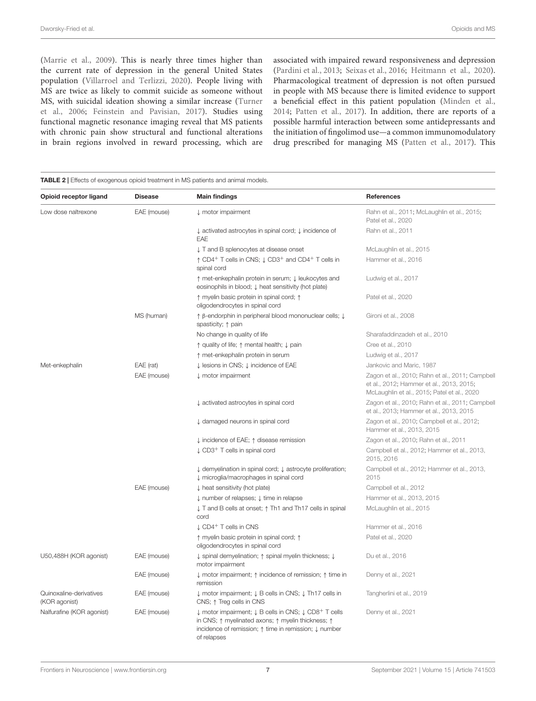[\(Marrie et al.,](#page-10-35) [2009\)](#page-10-35). This is nearly three times higher than the current rate of depression in the general United States population [\(Villarroel and Terlizzi,](#page-12-32) [2020\)](#page-12-32). People living with MS are twice as likely to commit suicide as someone without MS, with suicidal ideation showing a similar increase [\(Turner](#page-12-33) [et al.,](#page-12-33) [2006;](#page-12-33) [Feinstein and Pavisian,](#page-9-32) [2017\)](#page-9-32). Studies using functional magnetic resonance imaging reveal that MS patients with chronic pain show structural and functional alterations in brain regions involved in reward processing, which are associated with impaired reward responsiveness and depression [\(Pardini et al.,](#page-11-25) [2013;](#page-11-25) [Seixas et al.,](#page-12-34) [2016;](#page-12-34) [Heitmann et al.,](#page-9-33) [2020\)](#page-9-33). Pharmacological treatment of depression is not often pursued in people with MS because there is limited evidence to support a beneficial effect in this patient population [\(Minden et al.,](#page-10-36) [2014;](#page-10-36) [Patten et al.,](#page-11-26) [2017\)](#page-11-26). In addition, there are reports of a possible harmful interaction between some antidepressants and the initiation of fingolimod use—a common immunomodulatory drug prescribed for managing MS [\(Patten et al.,](#page-11-26) [2017\)](#page-11-26). This

#### <span id="page-6-0"></span>TABLE 2 | Effects of exogenous opioid treatment in MS patients and animal models. Opioid receptor ligand Disease Main findings Network Channel References Low dose naltrexone EAE (mouse) ↓ motor impairment [Rahn et al.,](#page-11-22) [2011;](#page-11-22) [McLaughlin et al.,](#page-10-37) [2015;](#page-10-37) [Patel et al.,](#page-11-19) [2020](#page-11-19) ↓ activated astrocytes in spinal cord; ↓ incidence of EAE [Rahn et al.,](#page-11-22) [2011](#page-11-22) ↓ T and B splenocytes at disease onset [McLaughlin et al.,](#page-10-37) [2015](#page-10-37) ↑ CD4<sup>+</sup> T cells in CNS; ↓ CD3<sup>+</sup> and CD4<sup>+</sup> T cells in spinal cord [Hammer et al.,](#page-9-34) [2016](#page-9-34) ↑ met-enkephalin protein in serum; ↓ leukocytes and eosinophils in blood; ↓ heat sensitivity (hot plate) [Ludwig et al.,](#page-10-2) [2017](#page-10-2) ↑ myelin basic protein in spinal cord; ↑ oligodendrocytes in spinal cord [Patel et al.,](#page-11-19) [2020](#page-11-19) MS (human)  $\uparrow$  β-endorphin in peripheral blood mononuclear cells; ↓ spasticity; ↑ pain [Gironi et al.,](#page-9-4) [2008](#page-9-4) No change in quality of life [Sharafaddinzadeh et al.,](#page-12-29) [2010](#page-12-29) ↑ quality of life; ↑ mental health; ↓ pain [Cree et al.,](#page-8-30) [2010](#page-8-30) ↑ met-enkephalin protein in serum [Ludwig et al.,](#page-10-2) [2017](#page-10-2) Met-enkephalin EAE (rat) 
Lesions in CNS; ↓ incidence of EAE [Jankovic and Maric,](#page-9-27) [1987](#page-9-27) EAE (mouse) ↓ motor impairment [Zagon et al.,](#page-13-17) [2010;](#page-13-17) [Rahn et al.,](#page-11-22) [2011;](#page-11-22) [Campbell](#page-8-27) [et al.,](#page-8-27) [2012;](#page-8-27) [Hammer et al.,](#page-9-28) [2013,](#page-9-28) [2015;](#page-9-29) [McLaughlin et al.,](#page-10-37) [2015;](#page-10-37) [Patel et al.,](#page-11-19) [2020](#page-11-19) ↓ activated astrocytes in spinal cord [Zagon et al.,](#page-13-17) [2010;](#page-13-17) [Rahn et al.,](#page-11-22) [2011;](#page-11-22) [Campbell](#page-8-28) [et al.,](#page-8-28) [2013;](#page-8-28) [Hammer et al.,](#page-9-28) [2013,](#page-9-28) [2015](#page-9-29) ↓ damaged neurons in spinal cord [Zagon et al.,](#page-13-17) [2010;](#page-13-17) [Campbell et al.,](#page-8-27) [2012;](#page-8-27) [Hammer et al.,](#page-9-28) [2013,](#page-9-28) [2015](#page-9-29) ↓ incidence of EAE; ↑ disease remission [Zagon et al.,](#page-13-17) [2010;](#page-13-17) [Rahn et al.,](#page-11-22) [2011](#page-11-22) ↓ CD3<sup>+</sup> T cells in spinal cord [Campbell et al.,](#page-8-27) [2012;](#page-8-27) [Hammer et al.,](#page-9-28) [2013,](#page-9-28) [2015,](#page-9-29) [2016](#page-9-34) ↓ demyelination in spinal cord; ↓ astrocyte proliferation; ↓ microglia/macrophages in spinal cord [Campbell et al.,](#page-8-27) [2012;](#page-8-27) [Hammer et al.,](#page-9-28) [2013,](#page-9-28) [2015](#page-9-29) EAE (mouse) ↓ heat sensitivity (hot plate) [Campbell et al.,](#page-8-27) [2012](#page-8-27) ↓ number of relapses; ↓ time in relapse [Hammer et al.,](#page-9-28) [2013,](#page-9-28) [2015](#page-9-29) ↓ T and B cells at onset; ↑ Th1 and Th17 cells in spinal cord [McLaughlin et al.,](#page-10-37) [2015](#page-10-37) ↓ CD4<sup>+</sup> T cells in CNS [Hammer et al.,](#page-9-34) [2016](#page-9-34) ↑ myelin basic protein in spinal cord; ↑ oligodendrocytes in spinal cord [Patel et al.,](#page-11-19) [2020](#page-11-19) U50,488H (KOR agonist) EAE (mouse)  $\downarrow$  spinal demyelination; ↑ spinal myelin thickness;  $\downarrow$ motor impairment [Du et al.,](#page-8-32) [2016](#page-8-32) EAE (mouse) ↓ motor impairment; ↑ incidence of remission; ↑ time in remission [Denny et al.,](#page-8-31) [2021](#page-8-31) Quinoxaline-derivatives (KOR agonist) EAE (mouse) ↓ motor impairment; ↓ B cells in CNS; ↓ Th17 cells in CNS; ↑ Treg cells in CNS [Tangherlini et al.,](#page-12-35) [2019](#page-12-35) Nalfurafine (KOR agonist) EAE (mouse)  $\downarrow$  motor impairment;  $\downarrow$  B cells in CNS;  $\downarrow$  CD8<sup>+</sup> T cells in CNS; ↑ myelinated axons; ↑ myelin thickness; ↑ incidence of remission; ↑ time in remission; ↓ number [Denny et al.,](#page-8-31) [2021](#page-8-31)

of relapses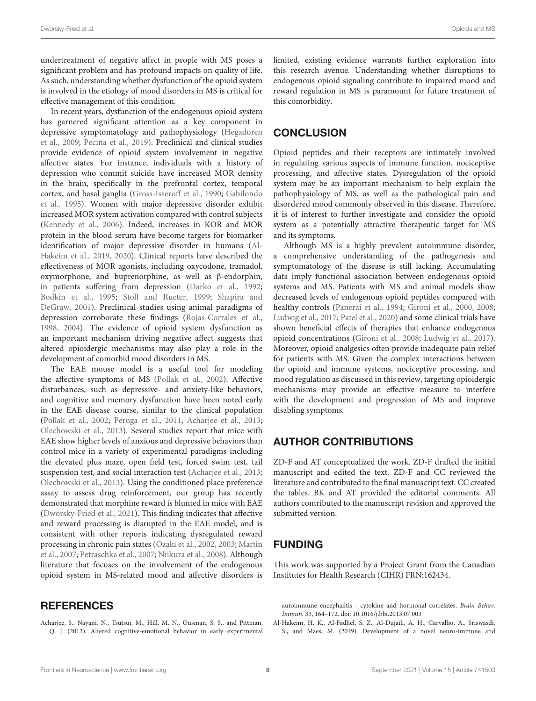undertreatment of negative affect in people with MS poses a significant problem and has profound impacts on quality of life. As such, understanding whether dysfunction of the opioid system is involved in the etiology of mood disorders in MS is critical for effective management of this condition.

In recent years, dysfunction of the endogenous opioid system has garnered significant attention as a key component in depressive symptomatology and pathophysiology [\(Hegadoren](#page-9-35) [et al.,](#page-9-35) [2009;](#page-9-35) [Peciña et al.,](#page-11-27) [2019\)](#page-11-27). Preclinical and clinical studies provide evidence of opioid system involvement in negative affective states. For instance, individuals with a history of depression who commit suicide have increased MOR density in the brain, specifically in the prefrontal cortex, temporal cortex, and basal ganglia [\(Gross-Isseroff et al.,](#page-9-36) [1990;](#page-9-36) [Gabilondo](#page-9-37) [et al.,](#page-9-37) [1995\)](#page-9-37). Women with major depressive disorder exhibit increased MOR system activation compared with control subjects [\(Kennedy et al.,](#page-10-38) [2006\)](#page-10-38). Indeed, increases in KOR and MOR protein in the blood serum have become targets for biomarker identification of major depressive disorder in humans [\(Al-](#page-7-0)[Hakeim et al.,](#page-7-0) [2019,](#page-7-0) [2020\)](#page-8-36). Clinical reports have described the effectiveness of MOR agonists, including oxycodone, tramadol, oxymorphone, and buprenorphine, as well as β-endorphin, in patients suffering from depression [\(Darko et al.,](#page-8-37) [1992;](#page-8-37) [Bodkin et al.,](#page-8-38) [1995;](#page-8-38) [Stoll and Rueter,](#page-12-36) [1999;](#page-12-36) [Shapira and](#page-12-37) [DeGraw,](#page-12-37) [2001\)](#page-12-37). Preclinical studies using animal paradigms of depression corroborate these findings [\(Rojas-Corrales et al.,](#page-12-38) [1998,](#page-12-38) [2004\)](#page-12-39). The evidence of opioid system dysfunction as an important mechanism driving negative affect suggests that altered opioidergic mechanisms may also play a role in the development of comorbid mood disorders in MS.

The EAE mouse model is a useful tool for modeling the affective symptoms of MS [\(Pollak et al.,](#page-11-28) [2002\)](#page-11-28). Affective disturbances, such as depressive- and anxiety-like behaviors, and cognitive and memory dysfunction have been noted early in the EAE disease course, similar to the clinical population [\(Pollak et al.,](#page-11-28) [2002;](#page-11-28) [Peruga et al.,](#page-11-29) [2011;](#page-11-29) [Acharjee et al.,](#page-7-1) [2013;](#page-7-1) [Olechowski et al.,](#page-11-30) [2013\)](#page-11-30). Several studies report that mice with EAE show higher levels of anxious and depressive behaviors than control mice in a variety of experimental paradigms including the elevated plus maze, open field test, forced swim test, tail suspension test, and social interaction test [\(Acharjee et al.,](#page-7-1) [2013;](#page-7-1) [Olechowski et al.,](#page-11-30) [2013\)](#page-11-30). Using the conditioned place preference assay to assess drug reinforcement, our group has recently demonstrated that morphine reward is blunted in mice with EAE [\(Dworsky-Fried et al.,](#page-8-35) [2021\)](#page-8-35). This finding indicates that affective and reward processing is disrupted in the EAE model, and is consistent with other reports indicating dysregulated reward processing in chronic pain states [\(Ozaki et al.,](#page-11-31) [2002,](#page-11-31) [2003;](#page-11-32) [Martin](#page-10-39) [et al.,](#page-10-39) [2007;](#page-10-39) [Petraschka et al.,](#page-11-33) [2007;](#page-11-33) [Niikura et al.,](#page-11-34) [2008\)](#page-11-34). Although literature that focuses on the involvement of the endogenous opioid system in MS-related mood and affective disorders is

### **REFERENCES**

<span id="page-7-1"></span>Acharjee, S., Nayani, N., Tsutsui, M., Hill, M. N., Ousman, S. S., and Pittman, Q. J. (2013). Altered cognitive-emotional behavior in early experimental

limited, existing evidence warrants further exploration into this research avenue. Understanding whether disruptions to endogenous opioid signaling contribute to impaired mood and reward regulation in MS is paramount for future treatment of this comorbidity.

### **CONCLUSION**

Opioid peptides and their receptors are intimately involved in regulating various aspects of immune function, nociceptive processing, and affective states. Dysregulation of the opioid system may be an important mechanism to help explain the pathophysiology of MS, as well as the pathological pain and disordered mood commonly observed in this disease. Therefore, it is of interest to further investigate and consider the opioid system as a potentially attractive therapeutic target for MS and its symptoms.

Although MS is a highly prevalent autoimmune disorder, a comprehensive understanding of the pathogenesis and symptomatology of the disease is still lacking. Accumulating data imply functional association between endogenous opioid systems and MS. Patients with MS and animal models show decreased levels of endogenous opioid peptides compared with healthy controls [\(Panerai et al.,](#page-11-18) [1994;](#page-11-18) [Gironi et al.,](#page-9-3) [2000,](#page-9-3) [2008;](#page-9-4) [Ludwig et al.,](#page-10-2) [2017;](#page-10-2) [Patel et al.,](#page-11-19) [2020\)](#page-11-19) and some clinical trials have shown beneficial effects of therapies that enhance endogenous opioid concentrations [\(Gironi et al.,](#page-9-4) [2008;](#page-9-4) [Ludwig et al.,](#page-10-2) [2017\)](#page-10-2). Moreover, opioid analgesics often provide inadequate pain relief for patients with MS. Given the complex interactions between the opioid and immune systems, nociceptive processing, and mood regulation as discussed in this review, targeting opioidergic mechanisms may provide an effective measure to interfere with the development and progression of MS and improve disabling symptoms.

# AUTHOR CONTRIBUTIONS

ZD-F and AT conceptualized the work. ZD-F drafted the initial manuscript and edited the text. ZD-F and CC reviewed the literature and contributed to the final manuscript text. CC created the tables. BK and AT provided the editorial comments. All authors contributed to the manuscript revision and approved the submitted version.

# FUNDING

This work was supported by a Project Grant from the Canadian Institutes for Health Research (CIHR) FRN:162434.

autoimmune encephalitis - cytokine and hormonal correlates. Brain Behav. Immun. 33, 164–172. [doi: 10.1016/j.bbi.2013.07.003](https://doi.org/10.1016/j.bbi.2013.07.003)

<span id="page-7-0"></span>Al-Hakeim, H. K., Al-Fadhel, S. Z., Al-Dujaili, A. H., Carvalho, A., Sriswasdi, S., and Maes, M. (2019). Development of a novel neuro-immune and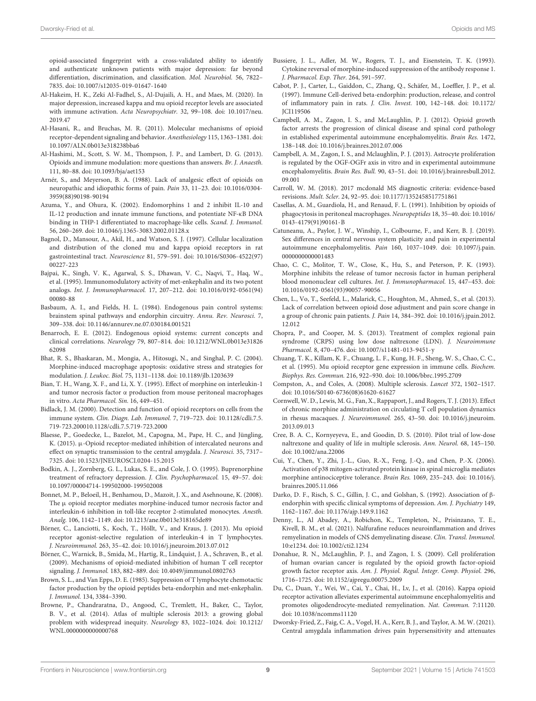opioid-associated fingerprint with a cross-validated ability to identify and authenticate unknown patients with major depression: far beyond differentiation, discrimination, and classification. Mol. Neurobiol. 56, 7822– 7835. [doi: 10.1007/s12035-019-01647-1640](https://doi.org/10.1007/s12035-019-01647-1640)

- <span id="page-8-36"></span>Al-Hakeim, H. K., Zeki Al-Fadhel, S., Al-Dujaili, A. H., and Maes, M. (2020). In major depression, increased kappa and mu opioid receptor levels are associated with immune activation. Acta Neuropsychiatr. 32, 99–108. [doi: 10.1017/neu.](https://doi.org/10.1017/neu.2019.47) [2019.47](https://doi.org/10.1017/neu.2019.47)
- <span id="page-8-8"></span>Al-Hasani, R., and Bruchas, M. R. (2011). Molecular mechanisms of opioid receptor-dependent signaling and behavior. Anesthesiology 115, 1363–1381. [doi:](https://doi.org/10.1097/ALN.0b013e318238bba6) [10.1097/ALN.0b013e318238bba6](https://doi.org/10.1097/ALN.0b013e318238bba6)
- <span id="page-8-10"></span>Al-Hashimi, M., Scott, S. W. M., Thompson, J. P., and Lambert, D. G. (2013). Opioids and immune modulation: more questions than answers. Br. J. Anaesth. 111, 80–88. [doi: 10.1093/bja/aet153](https://doi.org/10.1093/bja/aet153)
- <span id="page-8-33"></span>Arnér, S., and Meyerson, B. A. (1988). Lack of analgesic effect of opioids on neuropathic and idiopathic forms of pain. Pain 33, 11–23. [doi: 10.1016/0304-](https://doi.org/10.1016/0304-3959(88)90198-90194) [3959\(88\)90198-90194](https://doi.org/10.1016/0304-3959(88)90198-90194)
- <span id="page-8-12"></span>Azuma, Y., and Ohura, K. (2002). Endomorphins 1 and 2 inhibit IL-10 and IL-12 production and innate immune functions, and potentiate NF-κB DNA binding in THP-1 differentiated to macrophage-like cells. Scand. J. Immunol. 56, 260–269. [doi: 10.1046/j.1365-3083.2002.01128.x](https://doi.org/10.1046/j.1365-3083.2002.01128.x)
- <span id="page-8-7"></span>Bagnol, D., Mansour, A., Akil, H., and Watson, S. J. (1997). Cellular localization and distribution of the cloned mu and kappa opioid receptors in rat gastrointestinal tract. Neuroscience 81, 579–591. [doi: 10.1016/S0306-4522\(97\)](https://doi.org/10.1016/S0306-4522(97)00227-223) [00227-223](https://doi.org/10.1016/S0306-4522(97)00227-223)
- <span id="page-8-16"></span>Bajpai, K., Singh, V. K., Agarwal, S. S., Dhawan, V. C., Naqvi, T., Haq, W., et al. (1995). Immunomodulatory activity of met-enkephalin and its two potent analogs. Int. J. Immunopharmacol. 17, 207–212. [doi: 10.1016/0192-0561\(94\)](https://doi.org/10.1016/0192-0561(94)00080-88) [00080-88](https://doi.org/10.1016/0192-0561(94)00080-88)
- <span id="page-8-3"></span>Basbaum, A. I., and Fields, H. L. (1984). Endogenous pain control systems: brainstem spinal pathways and endorphin circuitry. Annu. Rev. Neurosci. 7, 309–338. [doi: 10.1146/annurev.ne.07.030184.001521](https://doi.org/10.1146/annurev.ne.07.030184.001521)
- <span id="page-8-9"></span>Benarroch, E. E. (2012). Endogenous opioid systems: current concepts and clinical correlations. Neurology 79, 807–814. [doi: 10.1212/WNL.0b013e31826](https://doi.org/10.1212/WNL.0b013e3182662098) [62098](https://doi.org/10.1212/WNL.0b013e3182662098)
- <span id="page-8-23"></span>Bhat, R. S., Bhaskaran, M., Mongia, A., Hitosugi, N., and Singhal, P. C. (2004). Morphine-induced macrophage apoptosis: oxidative stress and strategies for modulation. J. Leukoc. Biol. 75, 1131–1138. [doi: 10.1189/jlb.1203639](https://doi.org/10.1189/jlb.1203639)
- <span id="page-8-21"></span>Bian, T. H., Wang, X. F., and Li, X. Y. (1995). Effect of morphine on interleukin-1 and tumor necrosis factor α production from mouse peritoneal macrophages in vitro. Acta Pharmacol. Sin. 16, 449–451.
- <span id="page-8-6"></span>Bidlack, J. M. (2000). Detection and function of opioid receptors on cells from the immune system. Clin. Diagn. Lab. Immunol. 7, 719–723. [doi: 10.1128/cdli.7.5.](https://doi.org/10.1128/cdli.7.5.719-723.200010.1128/cdli.7.5.719-723.2000) [719-723.200010.1128/cdli.7.5.719-723.2000](https://doi.org/10.1128/cdli.7.5.719-723.200010.1128/cdli.7.5.719-723.2000)
- <span id="page-8-4"></span>Blaesse, P., Goedecke, L., Bazelot, M., Capogna, M., Pape, H. C., and Jüngling, K. (2015). µ-Opioid receptor-mediated inhibition of intercalated neurons and effect on synaptic transmission to the central amygdala. J. Neurosci. 35, 7317– 7325. [doi: 10.1523/JNEUROSCI.0204-15.2015](https://doi.org/10.1523/JNEUROSCI.0204-15.2015)
- <span id="page-8-38"></span>Bodkin, A. J., Zornberg, G. L., Lukas, S. E., and Cole, J. O. (1995). Buprenorphine treatment of refractory depression. J. Clin. Psychopharmacol. 15, 49–57. [doi:](https://doi.org/10.1097/00004714-199502000-199502008) [10.1097/00004714-199502000-199502008](https://doi.org/10.1097/00004714-199502000-199502008)
- <span id="page-8-20"></span>Bonnet, M. P., Beloeil, H., Benhamou, D., Mazoit, J. X., and Asehnoune, K. (2008). The  $\mu$  opioid receptor mediates morphine-induced tumor necrosis factor and interleukin-6 inhibition in toll-like receptor 2-stimulated monocytes. Anesth. Analg. 106, 1142–1149. [doi: 10.1213/ane.0b013e318165de89](https://doi.org/10.1213/ane.0b013e318165de89)
- <span id="page-8-14"></span>Börner, C., Lanciotti, S., Koch, T., Höllt, V., and Kraus, J. (2013). Mu opioid receptor agonist-selective regulation of interleukin-4 in T lymphocytes. J. Neuroimmunol. 263, 35–42. [doi: 10.1016/j.jneuroim.2013.07.012](https://doi.org/10.1016/j.jneuroim.2013.07.012)
- <span id="page-8-13"></span>Börner, C., Warnick, B., Smida, M., Hartig, R., Lindquist, J. A., Schraven, B., et al. (2009). Mechanisms of opioid-mediated inhibition of human T cell receptor signaling. J. Immunol. 183, 882–889. [doi: 10.4049/jimmunol.0802763](https://doi.org/10.4049/jimmunol.0802763)
- <span id="page-8-17"></span>Brown, S. L., and Van Epps, D. E. (1985). Suppression of T lymphocyte chemotactic factor production by the opioid peptides beta-endorphin and met-enkephalin. J. Immunol. 134, 3384–3390.
- <span id="page-8-1"></span>Browne, P., Chandraratna, D., Angood, C., Tremlett, H., Baker, C., Taylor, B. V., et al. (2014). Atlas of multiple sclerosis 2013: a growing global problem with widespread inequity. Neurology 83, 1022–1024. [doi: 10.1212/](https://doi.org/10.1212/WNL.0000000000000768) [WNL.0000000000000768](https://doi.org/10.1212/WNL.0000000000000768)
- <span id="page-8-18"></span>Bussiere, J. L., Adler, M. W., Rogers, T. J., and Eisenstein, T. K. (1993). Cytokine reversal of morphine-induced suppression of the antibody response 1. J. Pharmacol. Exp. Ther. 264, 591–597.
- <span id="page-8-11"></span>Cabot, P. J., Carter, L., Gaiddon, C., Zhang, Q., Schäfer, M., Loeffler, J. P., et al. (1997). Immune Cell-derived beta-endorphin: production, release, and control of inflammatory pain in rats. J. Clin. Invest. 100, 142–148. [doi: 10.1172/](https://doi.org/10.1172/JCI119506) [JCI119506](https://doi.org/10.1172/JCI119506)
- <span id="page-8-27"></span>Campbell, A. M., Zagon, I. S., and McLaughlin, P. J. (2012). Opioid growth factor arrests the progression of clinical disease and spinal cord pathology in established experimental autoimmune encephalomyelitis. Brain Res. 1472, 138–148. [doi: 10.1016/j.brainres.2012.07.006](https://doi.org/10.1016/j.brainres.2012.07.006)
- <span id="page-8-28"></span>Campbell, A. M., Zagon, I. S., and Mclaughlin, P. J. (2013). Astrocyte proliferation is regulated by the OGF-OGFr axis in vitro and in experimental autoimmune encephalomyelitis. Brain Res. Bull. 90, 43–51. [doi: 10.1016/j.brainresbull.2012.](https://doi.org/10.1016/j.brainresbull.2012.09.001) [09.001](https://doi.org/10.1016/j.brainresbull.2012.09.001)
- <span id="page-8-2"></span>Carroll, W. M. (2018). 2017 mcdonald MS diagnostic criteria: evidence-based revisions. Mult. Scler. 24, 92–95. [doi: 10.1177/1352458517751861](https://doi.org/10.1177/1352458517751861)
- <span id="page-8-22"></span>Casellas, A. M., Guardiola, H., and Renaud, F. L. (1991). Inhibition by opioids of phagocytosis in peritoneal macrophages. Neuropeptides 18, 35–40. [doi: 10.1016/](https://doi.org/10.1016/0143-4179(91)90161-B) [0143-4179\(91\)90161-B](https://doi.org/10.1016/0143-4179(91)90161-B)
- <span id="page-8-26"></span>Catuneanu, A., Paylor, J. W., Winship, I., Colbourne, F., and Kerr, B. J. (2019). Sex differences in central nervous system plasticity and pain in experimental autoimmune encephalomyelitis. Pain 160, 1037–1049. [doi: 10.1097/j.pain.](https://doi.org/10.1097/j.pain.0000000000001483) [0000000000001483](https://doi.org/10.1097/j.pain.0000000000001483)
- <span id="page-8-19"></span>Chao, C. C., Molitor, T. W., Close, K., Hu, S., and Peterson, P. K. (1993). Morphine inhibits the release of tumor necrosis factor in human peripheral blood mononuclear cell cultures. Int. J. Immunopharmacol. 15, 447–453. [doi:](https://doi.org/10.1016/0192-0561(93)90057-90056) [10.1016/0192-0561\(93\)90057-90056](https://doi.org/10.1016/0192-0561(93)90057-90056)
- <span id="page-8-34"></span>Chen, L., Vo, T., Seefeld, L., Malarick, C., Houghton, M., Ahmed, S., et al. (2013). Lack of correlation between opioid dose adjustment and pain score change in a group of chronic pain patients. J. Pain 14, 384–392. [doi: 10.1016/j.jpain.2012.](https://doi.org/10.1016/j.jpain.2012.12.012) [12.012](https://doi.org/10.1016/j.jpain.2012.12.012)
- <span id="page-8-29"></span>Chopra, P., and Cooper, M. S. (2013). Treatment of complex regional pain syndrome (CRPS) using low dose naltrexone (LDN). J. Neuroimmune Pharmacol. 8, 470–476. [doi: 10.1007/s11481-013-9451-y](https://doi.org/10.1007/s11481-013-9451-y)
- <span id="page-8-5"></span>Chuang, T. K., Killam, K. F., Chuang, L. F., Kung, H. F., Sheng, W. S., Chao, C. C., et al. (1995). Mu opioid receptor gene expression in immune cells. Biochem. Biophys. Res. Commun. 216, 922–930. [doi: 10.1006/bbrc.1995.2709](https://doi.org/10.1006/bbrc.1995.2709)
- <span id="page-8-0"></span>Compston, A., and Coles, A. (2008). Multiple sclerosis. Lancet 372, 1502–1517. [doi: 10.1016/S0140-6736\(08\)61620-61627](https://doi.org/10.1016/S0140-6736(08)61620-61627)
- <span id="page-8-24"></span>Cornwell, W. D., Lewis, M. G., Fan, X., Rappaport, J., and Rogers, T. J. (2013). Effect of chronic morphine administration on circulating T cell population dynamics in rhesus macaques. J. Neuroimmunol. 265, 43–50. [doi: 10.1016/j.jneuroim.](https://doi.org/10.1016/j.jneuroim.2013.09.013) [2013.09.013](https://doi.org/10.1016/j.jneuroim.2013.09.013)
- <span id="page-8-30"></span>Cree, B. A. C., Kornyeyeva, E., and Goodin, D. S. (2010). Pilot trial of low-dose naltrexone and quality of life in multiple sclerosis. Ann. Neurol. 68, 145–150. [doi: 10.1002/ana.22006](https://doi.org/10.1002/ana.22006)
- <span id="page-8-25"></span>Cui, Y., Chen, Y., Zhi, J.-L., Guo, R.-X., Feng, J.-Q., and Chen, P.-X. (2006). Activation of p38 mitogen-activated protein kinase in spinal microglia mediates morphine antinociceptive tolerance. Brain Res. 1069, 235–243. [doi: 10.1016/j.](https://doi.org/10.1016/j.brainres.2005.11.066) [brainres.2005.11.066](https://doi.org/10.1016/j.brainres.2005.11.066)
- <span id="page-8-37"></span>Darko, D. F., Risch, S. C., Gillin, J. C., and Golshan, S. (1992). Association of βendorphin with specific clinical symptoms of depression. Am. J. Psychiatry 149, 1162–1167. [doi: 10.1176/ajp.149.9.1162](https://doi.org/10.1176/ajp.149.9.1162)
- <span id="page-8-31"></span>Denny, L., Al Abadey, A., Robichon, K., Templeton, N., Prisinzano, T. E., Kivell, B. M., et al. (2021). Nalfurafine reduces neuroinflammation and drives remyelination in models of CNS demyelinating disease. Clin. Transl. Immunol. 10:e1234. [doi: 10.1002/cti2.1234](https://doi.org/10.1002/cti2.1234)
- <span id="page-8-15"></span>Donahue, R. N., McLaughlin, P. J., and Zagon, I. S. (2009). Cell proliferation of human ovarian cancer is regulated by the opioid growth factor-opioid growth factor receptor axis. Am. J. Physiol. Regul. Integr. Comp. Physiol. 296, 1716–1725. [doi: 10.1152/ajpregu.00075.2009](https://doi.org/10.1152/ajpregu.00075.2009)
- <span id="page-8-32"></span>Du, C., Duan, Y., Wei, W., Cai, Y., Chai, H., Lv, J., et al. (2016). Kappa opioid receptor activation alleviates experimental autoimmune encephalomyelitis and promotes oligodendrocyte-mediated remyelination. Nat. Commun. 7:11120. [doi: 10.1038/ncomms11120](https://doi.org/10.1038/ncomms11120)
- <span id="page-8-35"></span>Dworsky-Fried, Z., Faig, C. A., Vogel, H. A., Kerr, B. J., and Taylor, A. M. W. (2021). Central amygdala inflammation drives pain hypersensitivity and attenuates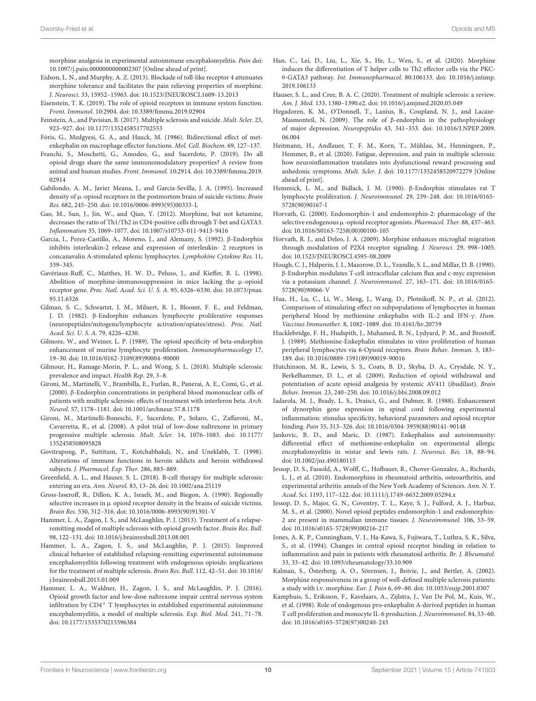morphine analgesia in experimental autoimmune encephalomyelitis. Pain [doi:](https://doi.org/10.1097/j.pain.0000000000002307) [10.1097/j.pain.0000000000002307](https://doi.org/10.1097/j.pain.0000000000002307) [Online ahead of print].

- <span id="page-9-26"></span>Eidson, L. N., and Murphy, A. Z. (2013). Blockade of toll-like receptor 4 attenuates morphine tolerance and facilitates the pain relieving properties of morphine. J. Neurosci. 33, 15952–15963. [doi: 10.1523/JNEUROSCI.1609-13.2013](https://doi.org/10.1523/JNEUROSCI.1609-13.2013)
- <span id="page-9-7"></span>Eisenstein, T. K. (2019). The role of opioid receptors in immune system function. Front. Immunol. 10:2904. [doi: 10.3389/fimmu.2019.02904](https://doi.org/10.3389/fimmu.2019.02904)
- <span id="page-9-32"></span>Feinstein, A., and Pavisian, B. (2017). Multiple sclerosis and suicide. Mult. Scler. 23, 923–927. [doi: 10.1177/1352458517702553](https://doi.org/10.1177/1352458517702553)

<span id="page-9-18"></span>Fóris, G., Medgyesi, G. A., and Hauck, M. (1986). Bidirectional effect of metenkephalin on macrophage effector functions. Mol. Cell. Biochem. 69, 127–137.

- <span id="page-9-19"></span>Franchi, S., Moschetti, G., Amodeo, G., and Sacerdote, P. (2019). Do all opioid drugs share the same immunomodulatory properties? A review from animal and human studies. Front. Immunol. 10:2914. [doi: 10.3389/fimmu.2019.](https://doi.org/10.3389/fimmu.2019.02914) [02914](https://doi.org/10.3389/fimmu.2019.02914)
- <span id="page-9-37"></span>Gabilondo, A. M., Javier Meana, J., and García-Sevilla, J. A. (1995). Increased density of  $\mu$ -opioid receptors in the postmortem brain of suicide victims. Brain Res. 682, 245–250. [doi: 10.1016/0006-8993\(95\)00333-L](https://doi.org/10.1016/0006-8993(95)00333-L)
- <span id="page-9-23"></span>Gao, M., Sun, J., Jin, W., and Qian, Y. (2012). Morphine, but not ketamine, decreases the ratio of Th1/Th2 in CD4-positive cells through T-bet and GATA3. Inflammation 35, 1069–1077. [doi: 10.1007/s10753-011-9413-9416](https://doi.org/10.1007/s10753-011-9413-9416)
- <span id="page-9-14"></span>Garcia, I., Perez-Castillo, A., Moreno, J., and Alemany, S. (1992). β-Endorphin inhibits interleukin-2 release and expression of interleukin- 2 receptors in concanavalin A-stimulated splenic lymphocytes. Lymphokine Cytokine Res. 11, 339–345.
- <span id="page-9-20"></span>Gavériaux-Ruff, C., Matthes, H. W. D., Peluso, J., and Kieffer, B. L. (1998). Abolition of morphine-immunosuppression in mice lacking the  $\mu$ -opioid receptor gene. Proc. Natl. Acad. Sci. U. S. A. 95, 6326–6330. [doi: 10.1073/pnas.](https://doi.org/10.1073/pnas.95.11.6326) [95.11.6326](https://doi.org/10.1073/pnas.95.11.6326)
- <span id="page-9-10"></span>Gilman, S. C., Schwartzt, J. M., Milnert, R. J., Bloomt, F. E., and Feldman, J. D. (1982). β-Endorphin enhances lymphocyte proliferative responses (neuropeptides/mitogens/lymphocyte activation/opiates/stress). Proc. Natl. Acad. Sci. U. S. A. 79, 4226–4230.
- <span id="page-9-11"></span>Gilmore, W., and Weiner, L. P. (1989). The opioid specificity of beta-endorphin enhancement of murine lymphocyte proliferation. Immunopharmacology 17, 19–30. [doi: 10.1016/0162-3109\(89\)90004-90000](https://doi.org/10.1016/0162-3109(89)90004-90000)
- <span id="page-9-0"></span>Gilmour, H., Ramage-Morin, P. L., and Wong, S. L. (2018). Multiple sclerosis: prevalence and impact. Health Rep. 29, 3–8.
- <span id="page-9-3"></span>Gironi, M., Martinelli, V., Brambilla, E., Furlan, R., Panerai, A. E., Comi, G., et al. (2000). β-Endorphin concentrations in peripheral blood mononuclear cells of patients with multiple sclerosis: effects of treatment with interferon beta. Arch. Neurol. 57, 1178–1181. [doi: 10.1001/archneur.57.8.1178](https://doi.org/10.1001/archneur.57.8.1178)
- <span id="page-9-4"></span>Gironi, M., Martinelli-Boneschi, F., Sacerdote, P., Solaro, C., Zaffaroni, M., Cavarretta, R., et al. (2008). A pilot trial of low-dose naltrexone in primary progressive multiple sclerosis. Mult. Scler. 14, 1076–1083. [doi: 10.1177/](https://doi.org/10.1177/1352458508095828) [1352458508095828](https://doi.org/10.1177/1352458508095828)
- <span id="page-9-21"></span>Govitrapong, P., Suttitum, T., Kotchabhakdi, N., and Uneklabh, T. (1998). Alterations of immune functions in heroin addicts and heroin withdrawal subjects. J. Pharmacol. Exp. Ther. 286, 883–889.
- <span id="page-9-1"></span>Greenfield, A. L., and Hauser, S. L. (2018). B-cell therapy for multiple sclerosis: entering an era. Ann. Neurol. 83, 13–26. [doi: 10.1002/ana.25119](https://doi.org/10.1002/ana.25119)
- <span id="page-9-36"></span>Gross-Isseroff, R., Dillon, K. A., Israeli, M., and Biegon, A. (1990). Regionally selective increases in  $\mu$  opioid receptor density in the brains of suicide victims. Brain Res. 530, 312–316. [doi: 10.1016/0006-8993\(90\)91301-V](https://doi.org/10.1016/0006-8993(90)91301-V)
- <span id="page-9-28"></span>Hammer, L. A., Zagon, I. S., and McLaughlin, P. J. (2013). Treatment of a relapseremitting model of multiple sclerosis with opioid growth factor. Brain Res. Bull. 98, 122–131. [doi: 10.1016/j.brainresbull.2013.08.001](https://doi.org/10.1016/j.brainresbull.2013.08.001)
- <span id="page-9-29"></span>Hammer, L. A., Zagon, I. S., and McLaughlin, P. J. (2015). Improved clinical behavior of established relapsing-remitting experimental autoimmune encephalomyelitis following treatment with endogenous opioids: implications for the treatment of multiple sclerosis. Brain Res. Bull. 112, 42–51. [doi: 10.1016/](https://doi.org/10.1016/j.brainresbull.2015.01.009) [j.brainresbull.2015.01.009](https://doi.org/10.1016/j.brainresbull.2015.01.009)
- <span id="page-9-34"></span>Hammer, L. A., Waldner, H., Zagon, I. S., and McLaughlin, P. J. (2016). Opioid growth factor and low-dose naltrexone impair central nervous system infiltration by  $CD4^+$  T lymphocytes in established experimental autoimmune encephalomyelitis, a model of multiple sclerosis. Exp. Biol. Med. 241, 71–78. [doi: 10.1177/1535370215596384](https://doi.org/10.1177/1535370215596384)
- <span id="page-9-22"></span>Han, C., Lei, D., Liu, L., Xie, S., He, L., Wen, S., et al. (2020). Morphine induces the differentiation of T helper cells to Th2 effector cells via the PKCθ-GATA3 pathway. Int. Immunopharmacol. 80:106133. [doi: 10.1016/j.intimp.](https://doi.org/10.1016/j.intimp.2019.106133) [2019.106133](https://doi.org/10.1016/j.intimp.2019.106133)
- <span id="page-9-2"></span>Hauser, S. L., and Cree, B. A. C. (2020). Treatment of multiple sclerosis: a review. Am. J. Med. 133, 1380–1390.e2. [doi: 10.1016/j.amjmed.2020.05.049](https://doi.org/10.1016/j.amjmed.2020.05.049)
- <span id="page-9-35"></span>Hegadoren, K. M., O'Donnell, T., Lanius, R., Coupland, N. J., and Lacaze-Masmonteil, N. (2009). The role of β-endorphin in the pathophysiology of major depression. Neuropeptides 43, 341–353. [doi: 10.1016/J.NPEP.2009.](https://doi.org/10.1016/J.NPEP.2009.06.004) [06.004](https://doi.org/10.1016/J.NPEP.2009.06.004)
- <span id="page-9-33"></span>Heitmann, H., Andlauer, T. F. M., Korn, T., Mühlau, M., Henningsen, P., Hemmer, B., et al. (2020). Fatigue, depression, and pain in multiple sclerosis: how neuroinflammation translates into dysfunctional reward processing and anhedonic symptoms. Mult. Scler. J. [doi: 10.1177/1352458520972279](https://doi.org/10.1177/1352458520972279) [Online ahead of print].
- <span id="page-9-12"></span>Hemmick, L. M., and Bidlack, J. M. (1990). β-Endorphin stimulates rat T lymphocyte proliferation. J. Neuroimmunol. 29, 239–248. [doi: 10.1016/0165-](https://doi.org/10.1016/0165-5728(90)90167-l) [5728\(90\)90167-l](https://doi.org/10.1016/0165-5728(90)90167-l)
- <span id="page-9-6"></span>Horvath, G. (2000). Endomorphin-1 and endomorphin-2: pharmacology of the selective endogenous  $\mu$ -opioid receptor agonists. Pharmacol. Ther. 88, 437-463. [doi: 10.1016/S0163-7258\(00\)00100-105](https://doi.org/10.1016/S0163-7258(00)00100-105)
- <span id="page-9-24"></span>Horvath, R. J., and Deleo, J. A. (2009). Morphine enhances microglial migration through modulation of P2X4 receptor signaling. J. Neurosci. 29, 998–1005. [doi: 10.1523/JNEUROSCI.4595-08.2009](https://doi.org/10.1523/JNEUROSCI.4595-08.2009)
- <span id="page-9-13"></span>Hough, C. J., Halperin, J. I., Mazorow, D. L., Yeandle, S. L., and Millar, D. B. (1990). β-Endorphin modulates T-cell intracellular calcium flux and c-myc expression via a potassium channel. J. Neuroimmunol. 27, 163–171. [doi: 10.1016/0165-](https://doi.org/10.1016/0165-5728(90)90066-V) [5728\(90\)90066-V](https://doi.org/10.1016/0165-5728(90)90066-V)
- <span id="page-9-16"></span>Hua, H., Lu, C., Li, W., Meng, J., Wang, D., Plotnikoff, N. P., et al. (2012). Comparison of stimulating effect on subpopulations of lymphocytes in human peripheral blood by methionine enkephalin with IL-2 and IFN-γ. Hum. Vaccines Immunother. 8, 1082–1089. [doi: 10.4161/hv.20759](https://doi.org/10.4161/hv.20759)
- <span id="page-9-15"></span>Hucklebridge, F. H., Hudspith, J., Muhamed, B. N., Lydyard, P. M., and Brostoff, J. (1989). Methionine-Enkephalin stimulates in vitro proliferation of human peripheral lymphocytes via 6-Opioid receptors. Brain Behav. Immun. 3, 183– 189. [doi: 10.1016/0889-1591\(89\)90019-90016](https://doi.org/10.1016/0889-1591(89)90019-90016)
- <span id="page-9-25"></span>Hutchinson, M. R., Lewis, S. S., Coats, B. D., Skyba, D. A., Crysdale, N. Y., Berkelhammer, D. L., et al. (2009). Reduction of opioid withdrawal and potentiation of acute opioid analgesia by systemic AV411 (ibudilast). Brain Behav. Immun. 23, 240–250. [doi: 10.1016/j.bbi.2008.09.012](https://doi.org/10.1016/j.bbi.2008.09.012)
- <span id="page-9-31"></span>Iadarola, M. J., Brady, L. S., Draisci, G., and Dubner, R. (1988). Enhancement of dynorphin gene expression in spinal cord following experimental inflammation: stimulus specificity, behavioral parameters and opioid receptor binding. Pain 35, 313–326. [doi: 10.1016/0304-3959\(88\)90141-90148](https://doi.org/10.1016/0304-3959(88)90141-90148)
- <span id="page-9-27"></span>Jankovic, B. D., and Maric, D. (1987). Enkephalins and autoimmunity: differential effect of methionine-enkephalin on experimental allergic encephalomyelitis in wistar and lewis rats. J. Neurosci. Res. 18, 88–94. [doi: 10.1002/jnr.490180115](https://doi.org/10.1002/jnr.490180115)
- <span id="page-9-9"></span>Jessop, D. S., Fassold, A., Wolff, C., Hofbauer, R., Chover-Gonzalez, A., Richards, L. J., et al. (2010). Endomorphins in rheumatoid arthritis, osteoarthritis, and experimental arthritis: annals of the New York Academy of Sciences. Ann. N. Y. Acad. Sci. 1193, 117–122. [doi: 10.1111/j.1749-6632.2009.05294.x](https://doi.org/10.1111/j.1749-6632.2009.05294.x)
- <span id="page-9-8"></span>Jessop, D. S., Major, G. N., Coventry, T. L., Kaye, S. J., Fulford, A. J., Harbuz, M. S., et al. (2000). Novel opioid peptides endomorphin-1 and endomorphin-2 are present in mammalian immune tissues. J. Neuroimmunol. 106, 53–59. [doi: 10.1016/s0165-5728\(99\)00216-217](https://doi.org/10.1016/s0165-5728(99)00216-217)
- <span id="page-9-30"></span>Jones, A. K. P., Cunningham, V. J., Ha-Kawa, S., Fujiwara, T., Luthra, S. K., Silva, S., et al. (1994). Changes in central opioid receptor binding in relation to inflammation and pain in patients with rheumatoid arthritis. Br. J. Rheumatol. 33, 33–42. [doi: 10.1093/rheumatology/33.10.909](https://doi.org/10.1093/rheumatology/33.10.909)
- <span id="page-9-5"></span>Kalman, S., Österberg, A. O., Sörensen, J., Boivie, J., and Bertler, A. (2002). Morphine responsiveness in a group of well-defined multiple sclerosis patients: a study with i.v. morphine. Eur. J. Pain 6, 69–80. [doi: 10.1053/eujp.2001.0307](https://doi.org/10.1053/eujp.2001.0307)
- <span id="page-9-17"></span>Kamphuis, S., Eriksson, F., Kavelaars, A., Zijlstra, J., Van De Pol, M., Kuis, W., et al. (1998). Role of endogenous pro-enkephalin A-derived peptides in human T cell proliferation and monocyte IL-6 production. J. Neuroimmunol. 84, 53–60. [doi: 10.1016/s0165-5728\(97\)00240-243](https://doi.org/10.1016/s0165-5728(97)00240-243)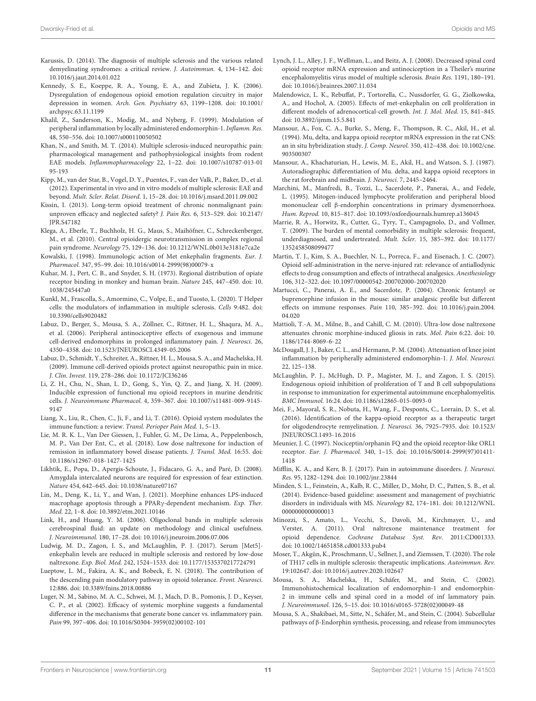- <span id="page-10-0"></span>Karussis, D. (2014). The diagnosis of multiple sclerosis and the various related demyelinating syndromes: a critical review. J. Autoimmun. 4, 134–142. [doi:](https://doi.org/10.1016/j.jaut.2014.01.022) [10.1016/j.jaut.2014.01.022](https://doi.org/10.1016/j.jaut.2014.01.022)
- <span id="page-10-38"></span>Kennedy, S. E., Koeppe, R. A., Young, E. A., and Zubieta, J. K. (2006). Dysregulation of endogenous opioid emotion regulation circuitry in major depression in women. Arch. Gen. Psychiatry 63, 1199–1208. [doi: 10.1001/](https://doi.org/10.1001/archpsyc.63.11.1199) [archpsyc.63.11.1199](https://doi.org/10.1001/archpsyc.63.11.1199)
- <span id="page-10-15"></span>Khalil, Z., Sanderson, K., Modig, M., and Nyberg, F. (1999). Modulation of peripheral inflammation by locally administered endomorphin-1. Inflamm. Res. 48, 550–556. [doi: 10.1007/s000110050502](https://doi.org/10.1007/s000110050502)
- <span id="page-10-34"></span>Khan, N., and Smith, M. T. (2014). Multiple sclerosis-induced neuropathic pain: pharmacological management and pathophysiological insights from rodent EAE models. Inflammopharmacology 22, 1–22. [doi: 10.1007/s10787-013-01](https://doi.org/10.1007/s10787-013-0195-193) [95-193](https://doi.org/10.1007/s10787-013-0195-193)
- <span id="page-10-23"></span>Kipp, M., van der Star, B., Vogel, D. Y., Puentes, F., van der Valk, P., Baker, D., et al. (2012). Experimental in vivo and in vitro models of multiple sclerosis: EAE and beyond. Mult. Scler. Relat. Disord. 1, 15–28. [doi: 10.1016/j.msard.2011.09.002](https://doi.org/10.1016/j.msard.2011.09.002)
- <span id="page-10-33"></span>Kissin, I. (2013). Long-term opioid treatment of chronic nonmalignant pain: unproven efficacy and neglected safety? J. Pain Res. 6, 513–529. [doi: 10.2147/](https://doi.org/10.2147/JPR.S47182) [JPR.S47182](https://doi.org/10.2147/JPR.S47182)
- <span id="page-10-31"></span>Klega, A., Eberle, T., Buchholz, H. G., Maus, S., Maihöfner, C., Schreckenberger, M., et al. (2010). Central opioidergic neurotransmission in complex regional pain syndrome. Neurology 75, 129–136. [doi: 10.1212/WNL.0b013e3181e7ca2e](https://doi.org/10.1212/WNL.0b013e3181e7ca2e)
- <span id="page-10-18"></span>Kowalski, J. (1998). Immunologic action of Met enkephalin fragments. Eur. J. Pharmacol. 347, 95–99. [doi: 10.1016/s0014-2999\(98\)00079-x](https://doi.org/10.1016/s0014-2999(98)00079-x)
- <span id="page-10-3"></span>Kuhar, M. J., Pert, C. B., and Snyder, S. H. (1973). Regional distribution of opiate receptor binding in monkey and human brain. Nature 245, 447–450. [doi: 10.](https://doi.org/10.1038/245447a0) [1038/245447a0](https://doi.org/10.1038/245447a0)
- <span id="page-10-21"></span>Kunkl, M., Frascolla, S., Amormino, C., Volpe, E., and Tuosto, L. (2020). T Helper cells: the modulators of inflammation in multiple sclerosis. Cells 9:482. [doi:](https://doi.org/10.3390/cells9020482) [10.3390/cells9020482](https://doi.org/10.3390/cells9020482)
- <span id="page-10-13"></span>Labuz, D., Berger, S., Mousa, S. A., Zöllner, C., Rittner, H. L., Shaqura, M. A., et al. (2006). Peripheral antinociceptive effects of exogenous and immune cell-derived endomorphins in prolonged inflammatory pain. J. Neurosci. 26, 4350–4358. [doi: 10.1523/JNEUROSCI.4349-05.2006](https://doi.org/10.1523/JNEUROSCI.4349-05.2006)
- <span id="page-10-11"></span>Labuz, D., Schmidt, Y., Schreiter, A., Rittner, H. L., Mousa, S. A., and Machelska, H. (2009). Immune cell-derived opioids protect against neuropathic pain in mice. J. Clin. Invest. 119, 278–286. [doi: 10.1172/JCI36246](https://doi.org/10.1172/JCI36246)
- <span id="page-10-14"></span>Li, Z. H., Chu, N., Shan, L. D., Gong, S., Yin, Q. Z., and Jiang, X. H. (2009). Inducible expression of functional mu opioid receptors in murine dendritic cells. J. Neuroimmune Pharmacol. 4, 359–367. [doi: 10.1007/s11481-009-9145-](https://doi.org/10.1007/s11481-009-9145-9147) [9147](https://doi.org/10.1007/s11481-009-9145-9147)
- <span id="page-10-9"></span>Liang, X., Liu, R., Chen, C., Ji, F., and Li, T. (2016). Opioid system modulates the immune function: a review. Transl. Perioper Pain Med. 1, 5–13.
- <span id="page-10-27"></span>Lie, M. R. K. L., Van Der Giessen, J., Fuhler, G. M., De Lima, A., Peppelenbosch, M. P., Van Der Ent, C., et al. (2018). Low dose naltrexone for induction of remission in inflammatory bowel disease patients. J. Transl. Med. 16:55. [doi:](https://doi.org/10.1186/s12967-018-1427-1425) [10.1186/s12967-018-1427-1425](https://doi.org/10.1186/s12967-018-1427-1425)
- <span id="page-10-7"></span>Likhtik, E., Popa, D., Apergis-Schoute, J., Fidacaro, G. A., and Paré, D. (2008). Amygdala intercalated neurons are required for expression of fear extinction. Nature 454, 642–645. [doi: 10.1038/nature07167](https://doi.org/10.1038/nature07167)
- <span id="page-10-20"></span>Lin, M., Deng, K., Li, Y., and Wan, J. (2021). Morphine enhances LPS-induced macrophage apoptosis through a PPARγ-dependent mechanism. Exp. Ther. Med. 22, 1–8. [doi: 10.3892/etm.2021.10146](https://doi.org/10.3892/etm.2021.10146)
- <span id="page-10-1"></span>Link, H., and Huang, Y. M. (2006). Oligoclonal bands in multiple sclerosis cerebrospinal fluid: an update on methodology and clinical usefulness. J. Neuroimmunol. 180, 17–28. [doi: 10.1016/j.jneuroim.2006.07.006](https://doi.org/10.1016/j.jneuroim.2006.07.006)
- <span id="page-10-2"></span>Ludwig, M. D., Zagon, I. S., and McLaughlin, P. J. (2017). Serum [Met5] enkephalin levels are reduced in multiple sclerosis and restored by low-dose naltrexone. Exp. Biol. Med. 242, 1524–1533. [doi: 10.1177/1535370217724791](https://doi.org/10.1177/1535370217724791)
- <span id="page-10-6"></span>Lueptow, L. M., Fakira, A. K., and Bobeck, E. N. (2018). The contribution of the descending pain modulatory pathway in opioid tolerance. Front. Neurosci. 12:886. [doi: 10.3389/fnins.2018.00886](https://doi.org/10.3389/fnins.2018.00886)
- <span id="page-10-32"></span>Luger, N. M., Sabino, M. A. C., Schwei, M. J., Mach, D. B., Pomonis, J. D., Keyser, C. P., et al. (2002). Efficacy of systemic morphine suggests a fundamental difference in the mechanisms that generate bone cancer vs. inflammatory pain. Pain 99, 397–406. [doi: 10.1016/S0304-3959\(02\)00102-101](https://doi.org/10.1016/S0304-3959(02)00102-101)
- <span id="page-10-28"></span>Lynch, J. L., Alley, J. F., Wellman, L., and Beitz, A. J. (2008). Decreased spinal cord opioid receptor mRNA expression and antinociception in a Theiler's murine encephalomyelitis virus model of multiple sclerosis. Brain Res. 1191, 180–191. [doi: 10.1016/j.brainres.2007.11.034](https://doi.org/10.1016/j.brainres.2007.11.034)
- <span id="page-10-24"></span>Malendowicz, L. K., Rebuffat, P., Tortorella, C., Nussdorfer, G. G., Ziolkowska, A., and Hochol, A. (2005). Effects of met-enkephalin on cell proliferation in different models of adrenocortical-cell growth. Int. J. Mol. Med. 15, 841–845. [doi: 10.3892/ijmm.15.5.841](https://doi.org/10.3892/ijmm.15.5.841)
- <span id="page-10-5"></span>Mansour, A., Fox, C. A., Burke, S., Meng, F., Thompson, R. C., Akil, H., et al. (1994). Mu, delta, and kappa opioid receptor mRNA expression in the rat CNS: an in situ hybridization study. J. Comp. Neurol. 350, 412–438. [doi: 10.1002/cne.](https://doi.org/10.1002/cne.903500307) [903500307](https://doi.org/10.1002/cne.903500307)
- <span id="page-10-4"></span>Mansour, A., Khachaturian, H., Lewis, M. E., Akil, H., and Watson, S. J. (1987). Autoradiographic differentiation of Mu. delta, and kappa opioid receptors in the rat forebrain and midbrain. J. Neurosci. 7, 2445–2464.
- <span id="page-10-17"></span>Marchini, M., Manfredi, B., Tozzi, L., Sacerdote, P., Panerai, A., and Fedele, L. (1995). Mitogen-induced lymphocyte proliferation and peripheral blood mononuclear cell β-endorphin concentrations in primary dysmenorrhoea. Hum. Reprod. 10, 815–817. [doi: 10.1093/oxfordjournals.humrep.a136045](https://doi.org/10.1093/oxfordjournals.humrep.a136045)
- <span id="page-10-35"></span>Marrie, R. A., Horwitz, R., Cutter, G., Tyry, T., Campagnolo, D., and Vollmer, T. (2009). The burden of mental comorbidity in multiple sclerosis: frequent, underdiagnosed, and undertreated. Mult. Scler. 15, 385–392. [doi: 10.1177/](https://doi.org/10.1177/1352458508099477) [1352458508099477](https://doi.org/10.1177/1352458508099477)
- <span id="page-10-39"></span>Martin, T. J., Kim, S. A., Buechler, N. L., Porreca, F., and Eisenach, J. C. (2007). Opioid self-administration in the nerve-injured rat: relevance of antiallodynic effects to drug consumption and effects of intrathecal analgesics. Anesthesiology 106, 312–322. [doi: 10.1097/00000542-200702000-200702020](https://doi.org/10.1097/00000542-200702000-200702020)
- <span id="page-10-19"></span>Martucci, C., Panerai, A. E., and Sacerdote, P. (2004). Chronic fentanyl or buprenorphine infusion in the mouse: similar analgesic profile but different effects on immune responses. Pain 110, 385–392. [doi: 10.1016/j.pain.2004.](https://doi.org/10.1016/j.pain.2004.04.020) [04.020](https://doi.org/10.1016/j.pain.2004.04.020)
- <span id="page-10-26"></span>Mattioli, T.-A. M., Milne, B., and Cahill, C. M. (2010). Ultra-low dose naltrexone attenuates chronic morphine-induced gliosis in rats. Mol. Pain 6:22. [doi: 10.](https://doi.org/10.1186/1744-8069-6-22) [1186/1744-8069-6-22](https://doi.org/10.1186/1744-8069-6-22)
- <span id="page-10-16"></span>McDougall, J. J., Baker, C. L., and Hermann, P. M. (2004). Attenuation of knee joint inflammation by peripherally administered endomorphin-1. J. Mol. Neurosci. 22, 125–138.
- <span id="page-10-37"></span>McLaughlin, P. J., McHugh, D. P., Magister, M. J., and Zagon, I. S. (2015). Endogenous opioid inhibition of proliferation of T and B cell subpopulations in response to immunization for experimental autoimmune encephalomyelitis. BMC Immunol. 16:24. [doi: 10.1186/s12865-015-0093-0](https://doi.org/10.1186/s12865-015-0093-0)
- <span id="page-10-29"></span>Mei, F., Mayoral, S. R., Nobuta, H., Wang, F., Desponts, C., Lorrain, D. S., et al. (2016). Identification of the kappa-opioid receptor as a therapeutic target for oligodendrocyte remyelination. J. Neurosci. 36, 7925–7935. [doi: 10.1523/](https://doi.org/10.1523/JNEUROSCI.1493-16.2016) [JNEUROSCI.1493-16.2016](https://doi.org/10.1523/JNEUROSCI.1493-16.2016)
- <span id="page-10-8"></span>Meunier, J. C. (1997). Nociceptin/orphanin FQ and the opioid receptor-like ORL1 receptor. Eur. J. Pharmacol. 340, 1–15. [doi: 10.1016/S0014-2999\(97\)01411-](https://doi.org/10.1016/S0014-2999(97)01411-1418) [1418](https://doi.org/10.1016/S0014-2999(97)01411-1418)
- <span id="page-10-30"></span>Mifflin, K. A., and Kerr, B. J. (2017). Pain in autoimmune disorders. J. Neurosci. Res. 95, 1282–1294. [doi: 10.1002/jnr.23844](https://doi.org/10.1002/jnr.23844)
- <span id="page-10-36"></span>Minden, S. L., Feinstein, A., Kalb, R. C., Miller, D., Mohr, D. C., Patten, S. B., et al. (2014). Evidence-based guideline: assessment and management of psychiatric disorders in individuals with MS. Neurology 82, 174–181. [doi: 10.1212/WNL.](https://doi.org/10.1212/WNL.0000000000000013) 00[0000000000000013](https://doi.org/10.1212/WNL.0000000000000013)
- <span id="page-10-25"></span>Minozzi, S., Amato, L., Vecchi, S., Davoli, M., Kirchmayer, U., and Verster, A. (2011). Oral naltrexone maintenance treatment for opioid dependence. Cochrane Database Syst. Rev. 2011:CD001333. [doi: 10.1002/14651858.cd001333.pub4](https://doi.org/10.1002/14651858.cd001333.pub4)
- <span id="page-10-22"></span>Moser, T., Akgün, K., Proschmann, U., Sellner, J., and Ziemssen, T. (2020). The role of TH17 cells in multiple sclerosis: therapeutic implications. Autoimmun. Rev. 19:102647. [doi: 10.1016/j.autrev.2020.102647](https://doi.org/10.1016/j.autrev.2020.102647)
- <span id="page-10-12"></span>Mousa, S. A., Machelska, H., Schäfer, M., and Stein, C. (2002). Immunohistochemical localization of endomorphin-1 and endomorphin-2 in immune cells and spinal cord in a model of inf lammatory pain. J. Neuroimmunol. 126, 5–15. [doi: 10.1016/s0165-5728\(02\)00049-48](https://doi.org/10.1016/s0165-5728(02)00049-48)
- <span id="page-10-10"></span>Mousa, S. A., Shakibaei, M., Sitte, N., Schäfer, M., and Stein, C. (2004). Subcellular pathways of β-Endorphin synthesis, processing, and release from immunocytes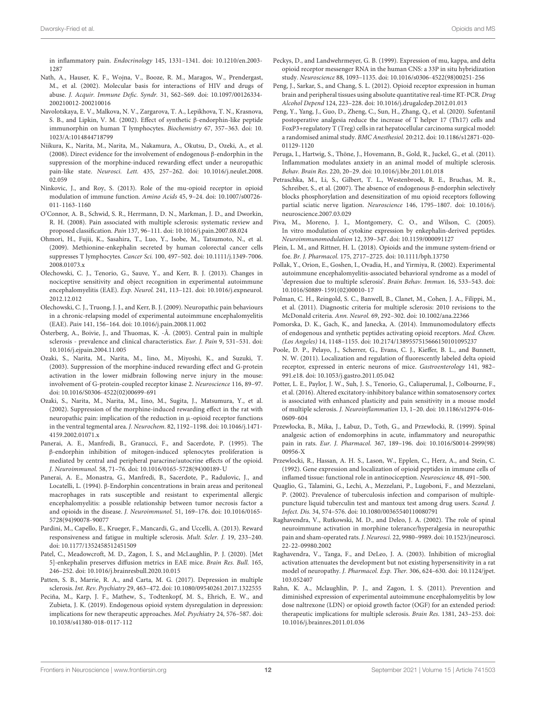in inflammatory pain. Endocrinology 145, 1331–1341. [doi: 10.1210/en.2003-](https://doi.org/10.1210/en.2003-1287) [1287](https://doi.org/10.1210/en.2003-1287)

- <span id="page-11-13"></span>Nath, A., Hauser, K. F., Wojna, V., Booze, R. M., Maragos, W., Prendergast, M., et al. (2002). Molecular basis for interactions of HIV and drugs of abuse. J. Acquir. Immune Defic. Syndr. 31, S62–S69. [doi: 10.1097/00126334-](https://doi.org/10.1097/00126334-200210012-200210016) [200210012-200210016](https://doi.org/10.1097/00126334-200210012-200210016)
- <span id="page-11-9"></span>Navolotskaya, E. V., Malkova, N. V., Zargarova, T. A., Lepikhova, T. N., Krasnova, S. B., and Lipkin, V. M. (2002). Effect of synthetic β-endorphin-like peptide immunorphin on human T lymphocytes. Biochemistry 67, 357–363. [doi: 10.](https://doi.org/10.1023/A:1014844718799) [1023/A:1014844718799](https://doi.org/10.1023/A:1014844718799)
- <span id="page-11-34"></span>Niikura, K., Narita, M., Narita, M., Nakamura, A., Okutsu, D., Ozeki, A., et al. (2008). Direct evidence for the involvement of endogenous β-endorphin in the suppression of the morphine-induced rewarding effect under a neuropathic pain-like state. Neurosci. Lett. 435, 257–262. [doi: 10.1016/j.neulet.2008.](https://doi.org/10.1016/j.neulet.2008.02.059) [02.059](https://doi.org/10.1016/j.neulet.2008.02.059)
- <span id="page-11-5"></span>Ninkovic, J., and Roy, S. (2013). Role of the mu-opioid receptor in opioid modulation of immune function. Amino Acids 45, 9–24. [doi: 10.1007/s00726-](https://doi.org/10.1007/s00726-011-1163-1160) [011-1163-1160](https://doi.org/10.1007/s00726-011-1163-1160)
- <span id="page-11-24"></span>O'Connor, A. B., Schwid, S. R., Herrmann, D. N., Markman, J. D., and Dworkin, R. H. (2008). Pain associated with multiple sclerosis: systematic review and proposed classification. Pain 137, 96–111. [doi: 10.1016/j.pain.2007.08.024](https://doi.org/10.1016/j.pain.2007.08.024)
- <span id="page-11-11"></span>Ohmori, H., Fujii, K., Sasahira, T., Luo, Y., Isobe, M., Tatsumoto, N., et al. (2009). Methionine-enkephalin secreted by human colorectal cancer cells suppresses T lymphocytes. Cancer Sci. 100, 497–502. [doi: 10.1111/j.1349-7006.](https://doi.org/10.1111/j.1349-7006.2008.01073.x) [2008.01073.x](https://doi.org/10.1111/j.1349-7006.2008.01073.x)
- <span id="page-11-30"></span>Olechowski, C. J., Tenorio, G., Sauve, Y., and Kerr, B. J. (2013). Changes in nociceptive sensitivity and object recognition in experimental autoimmune encephalomyelitis (EAE). Exp. Neurol. 241, 113–121. [doi: 10.1016/j.expneurol.](https://doi.org/10.1016/j.expneurol.2012.12.012) [2012.12.012](https://doi.org/10.1016/j.expneurol.2012.12.012)
- <span id="page-11-20"></span>Olechowski, C. J., Truong, J. J., and Kerr, B. J. (2009). Neuropathic pain behaviours in a chronic-relapsing model of experimental autoimmune encephalomyelitis (EAE). Pain 141, 156–164. [doi: 10.1016/j.pain.2008.11.002](https://doi.org/10.1016/j.pain.2008.11.002)
- <span id="page-11-23"></span>Österberg, A., Boivie, J., and Thuomas, K. -Å. (2005). Central pain in multiple sclerosis - prevalence and clinical characteristics. Eur. J. Pain 9, 531–531. [doi:](https://doi.org/10.1016/j.ejpain.2004.11.005) [10.1016/j.ejpain.2004.11.005](https://doi.org/10.1016/j.ejpain.2004.11.005)
- <span id="page-11-32"></span>Ozaki, S., Narita, M., Narita, M., Iino, M., Miyoshi, K., and Suzuki, T. (2003). Suppression of the morphine-induced rewarding effect and G-protein activation in the lower midbrain following nerve injury in the mouse: involvement of G-protein-coupled receptor kinase 2. Neuroscience 116, 89–97. [doi: 10.1016/S0306-4522\(02\)00699-691](https://doi.org/10.1016/S0306-4522(02)00699-691)
- <span id="page-11-31"></span>Ozaki, S., Narita, M., Narita, M., Iino, M., Sugita, J., Matsumura, Y., et al. (2002). Suppression of the morphine-induced rewarding effect in the rat with neuropathic pain: implication of the reduction in µ-opioid receptor functions in the ventral tegmental area. J. Neurochem. 82, 1192–1198. [doi: 10.1046/j.1471-](https://doi.org/10.1046/j.1471-4159.2002.01071.x) [4159.2002.01071.x](https://doi.org/10.1046/j.1471-4159.2002.01071.x)
- <span id="page-11-10"></span>Panerai, A. E., Manfredi, B., Granucci, F., and Sacerdote, P. (1995). The β-endorphin inhibition of mitogen-induced splenocytes proliferation is mediated by central and peripheral paracrine/autocrine effects of the opioid. J. Neuroimmunol. 58, 71–76. [doi: 10.1016/0165-5728\(94\)00189-U](https://doi.org/10.1016/0165-5728(94)00189-U)
- <span id="page-11-18"></span>Panerai, A. E., Monastra, G., Manfredi, B., Sacerdote, P., Radulovic, J., and Locatelli, L. (1994). β-Endorphin concentrations in brain areas and peritoneal macrophages in rats susceptible and resistant to experimental allergic encephalomyelitis: a possible relationship between tumor necrosis factor a and opioids in the disease. J. Neuroimmunol. 51, 169–176. [doi: 10.1016/0165-](https://doi.org/10.1016/0165-5728(94)90078-90077) [5728\(94\)90078-90077](https://doi.org/10.1016/0165-5728(94)90078-90077)
- <span id="page-11-25"></span>Pardini, M., Capello, E., Krueger, F., Mancardi, G., and Uccelli, A. (2013). Reward responsiveness and fatigue in multiple sclerosis. Mult. Scler. J. 19, 233–240. [doi: 10.1177/1352458512451509](https://doi.org/10.1177/1352458512451509)
- <span id="page-11-19"></span>Patel, C., Meadowcroft, M. D., Zagon, I. S., and McLaughlin, P. J. (2020). [Met 5]-enkephalin preserves diffusion metrics in EAE mice. Brain Res. Bull. 165, 246–252. [doi: 10.1016/j.brainresbull.2020.10.015](https://doi.org/10.1016/j.brainresbull.2020.10.015)
- <span id="page-11-26"></span>Patten, S. B., Marrie, R. A., and Carta, M. G. (2017). Depression in multiple sclerosis. Int. Rev. Psychiatry 29, 463–472. [doi: 10.1080/09540261.2017.1322555](https://doi.org/10.1080/09540261.2017.1322555)
- <span id="page-11-27"></span>Peciña, M., Karp, J. F., Mathew, S., Todtenkopf, M. S., Ehrich, E. W., and Zubieta, J. K. (2019). Endogenous opioid system dysregulation in depression: implications for new therapeutic approaches. Mol. Psychiatry 24, 576–587. [doi:](https://doi.org/10.1038/s41380-018-0117-112) [10.1038/s41380-018-0117-112](https://doi.org/10.1038/s41380-018-0117-112)
- <span id="page-11-1"></span>Peckys, D., and Landwehrmeyer, G. B. (1999). Expression of mu, kappa, and delta opioid receptor messenger RNA in the human CNS: a 33P in situ hybridization study. Neuroscience 88, 1093–1135. [doi: 10.1016/s0306-4522\(98\)00251-256](https://doi.org/10.1016/s0306-4522(98)00251-256)
- <span id="page-11-2"></span>Peng, J., Sarkar, S., and Chang, S. L. (2012). Opioid receptor expression in human brain and peripheral tissues using absolute quantitative real-time RT-PCR. Drug Alcohol Depend 124, 223–228. [doi: 10.1016/j.drugalcdep.2012.01.013](https://doi.org/10.1016/j.drugalcdep.2012.01.013)
- <span id="page-11-15"></span>Peng, Y., Yang, J., Guo, D., Zheng, C., Sun, H., Zhang, Q., et al. (2020). Sufentanil postoperative analgesia reduce the increase of T helper 17 (Th17) cells and FoxP3+regulatory T (Treg) cells in rat hepatocellular carcinoma surgical model: a randomised animal study. BMC Anesthesiol. 20:212. [doi: 10.1186/s12871-020-](https://doi.org/10.1186/s12871-020-01129-1120) [01129-1120](https://doi.org/10.1186/s12871-020-01129-1120)
- <span id="page-11-29"></span>Peruga, I., Hartwig, S., Thöne, J., Hovemann, B., Gold, R., Juckel, G., et al. (2011). Inflammation modulates anxiety in an animal model of multiple sclerosis. Behav. Brain Res. 220, 20–29. [doi: 10.1016/j.bbr.2011.01.018](https://doi.org/10.1016/j.bbr.2011.01.018)
- <span id="page-11-33"></span>Petraschka, M., Li, S., Gilbert, T. L., Westenbroek, R. E., Bruchas, M. R., Schreiber, S., et al. (2007). The absence of endogenous β-endorphin selectively blocks phosphorylation and desensitization of mu opioid receptors following partial sciatic nerve ligation. Neuroscience 146, 1795–1807. [doi: 10.1016/j.](https://doi.org/10.1016/j.neuroscience.2007.03.029) [neuroscience.2007.03.029](https://doi.org/10.1016/j.neuroscience.2007.03.029)
- <span id="page-11-12"></span>Piva, M., Moreno, J. I., Montgomery, C. O., and Wilson, C. (2005). In vitro modulation of cytokine expression by enkephalin-derived peptides. Neuroimmunomodulation 12, 339–347. [doi: 10.1159/000091127](https://doi.org/10.1159/000091127)
- <span id="page-11-4"></span>Plein, L. M., and Rittner, H. L. (2018). Opioids and the immune system-friend or foe. Br. J. Pharmacol. 175, 2717–2725. [doi: 10.1111/bph.13750](https://doi.org/10.1111/bph.13750)
- <span id="page-11-28"></span>Pollak, Y., Orion, E., Goshen, I., Ovadia, H., and Yirmiya, R. (2002). Experimental autoimmune encephalomyelitis-associated behavioral syndrome as a model of 'depression due to multiple sclerosis'. Brain Behav. Immun. 16, 533–543. [doi:](https://doi.org/10.1016/S0889-1591(02)00010-17) [10.1016/S0889-1591\(02\)00010-17](https://doi.org/10.1016/S0889-1591(02)00010-17)
- <span id="page-11-0"></span>Polman, C. H., Reingold, S. C., Banwell, B., Clanet, M., Cohen, J. A., Filippi, M., et al. (2011). Diagnostic criteria for multiple sclerosis: 2010 revisions to the McDonald criteria. Ann. Neurol. 69, 292–302. [doi: 10.1002/ana.22366](https://doi.org/10.1002/ana.22366)
- <span id="page-11-6"></span>Pomorska, D. K., Gach, K., and Janecka, A. (2014). Immunomodulatory effects of endogenous and synthetic peptides activating opioid receptors. Med. Chem. (Los Angeles) 14, 1148–1155. [doi: 10.2174/1389557515666150101095237](https://doi.org/10.2174/1389557515666150101095237)
- <span id="page-11-3"></span>Poole, D. P., Pelayo, J., Scherrer, G., Evans, C. J., Kieffer, B. L., and Bunnett, N. W. (2011). Localization and regulation of fluorescently labeled delta opioid receptor, expressed in enteric neurons of mice. Gastroenterology 141, 982– 991.e18. [doi: 10.1053/j.gastro.2011.05.042](https://doi.org/10.1053/j.gastro.2011.05.042)
- <span id="page-11-21"></span>Potter, L. E., Paylor, J. W., Suh, J. S., Tenorio, G., Caliaperumal, J., Colbourne, F., et al. (2016). Altered excitatory-inhibitory balance within somatosensory cortex is associated with enhanced plasticity and pain sensitivity in a mouse model of multiple sclerosis. J. Neuroinflammation 13, 1–20. [doi: 10.1186/s12974-016-](https://doi.org/10.1186/s12974-016-0609-604) [0609-604](https://doi.org/10.1186/s12974-016-0609-604)
- <span id="page-11-8"></span>Przewłocka, B., Mika, J., Łabuz, D., Toth, G., and Przewłocki, R. (1999). Spinal analgesic action of endomorphins in acute, inflammatory and neuropathic pain in rats. Eur. J. Pharmacol. 367, 189–196. [doi: 10.1016/S0014-2999\(98\)](https://doi.org/10.1016/S0014-2999(98)00956-X) [00956-X](https://doi.org/10.1016/S0014-2999(98)00956-X)
- <span id="page-11-7"></span>Przewlocki, R., Hassan, A. H. S., Lason, W., Epplen, C., Herz, A., and Stein, C. (1992). Gene expression and localization of opioid peptides in immune cells of inflamed tissue: functional role in antinociception. Neuroscience 48, 491–500.
- <span id="page-11-14"></span>Quaglio, G., Talamini, G., Lechi, A., Mezzelani, P., Lugoboni, F., and Mezzelani, P. (2002). Prevalence of tuberculosis infection and comparison of multiplepuncture liquid tuberculin test and mantoux test among drug users. Scand. J. Infect. Dis. 34, 574–576. [doi: 10.1080/00365540110080791](https://doi.org/10.1080/00365540110080791)
- <span id="page-11-16"></span>Raghavendra, V., Rutkowski, M. D., and Deleo, J. A. (2002). The role of spinal neuroimmune activation in morphine tolerance/hyperalgesia in neuropathic pain and sham-operated rats. J. Neurosci. 22, 9980–9989. [doi: 10.1523/jneurosci.](https://doi.org/10.1523/jneurosci.22-22-09980.2002) [22-22-09980.2002](https://doi.org/10.1523/jneurosci.22-22-09980.2002)
- <span id="page-11-17"></span>Raghavendra, V., Tanga, F., and DeLeo, J. A. (2003). Inhibition of microglial activation attenuates the development but not existing hypersensitivity in a rat model of neuropathy. J. Pharmacol. Exp. Ther. 306, 624–630. [doi: 10.1124/jpet.](https://doi.org/10.1124/jpet.103.052407) [103.052407](https://doi.org/10.1124/jpet.103.052407)
- <span id="page-11-22"></span>Rahn, K. A., Mclaughlin, P. J., and Zagon, I. S. (2011). Prevention and diminished expression of experimental autoimmune encephalomyelitis by low dose naltrexone (LDN) or opioid growth factor (OGF) for an extended period: therapeutic implications for multiple sclerosis. Brain Res. 1381, 243–253. [doi:](https://doi.org/10.1016/j.brainres.2011.01.036) [10.1016/j.brainres.2011.01.036](https://doi.org/10.1016/j.brainres.2011.01.036)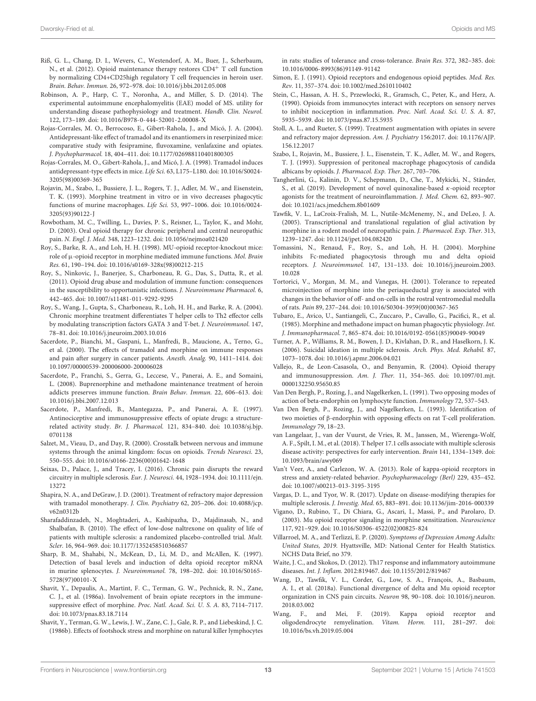- <span id="page-12-26"></span>Riß, G. L., Chang, D. I., Wevers, C., Westendorf, A. M., Buer, J., Scherbaum, N., et al. (2012). Opioid maintenance therapy restores CD4<sup>+</sup> T cell function by normalizing CD4+CD25high regulatory T cell frequencies in heroin user. Brain. Behav. Immun. 26, 972–978. [doi: 10.1016/j.bbi.2012.05.008](https://doi.org/10.1016/j.bbi.2012.05.008)
- <span id="page-12-28"></span>Robinson, A. P., Harp, C. T., Noronha, A., and Miller, S. D. (2014). The experimental autoimmune encephalomyelitis (EAE) model of MS. utility for understanding disease pathophysiology and treatment. Handb. Clin. Neurol. 122, 173–189. [doi: 10.1016/B978-0-444-52001-2.00008-X](https://doi.org/10.1016/B978-0-444-52001-2.00008-X)
- <span id="page-12-39"></span>Rojas-Corrales, M. O., Berrocoso, E., Gibert-Rahola, J., and Micó, J. A. (2004). Antidepressant-like effect of tramadol and its enantiomers in reserpinized mice: comparative study with fesipramine, fluvoxamine, venlafaxine and opiates. J. Psychopharmacol. 18, 404–411. [doi: 10.1177/026988110401800305](https://doi.org/10.1177/026988110401800305)
- <span id="page-12-38"></span>Rojas-Corrales, M. O., Gibert-Rahola, J., and Micó, J. A. (1998). Tramadol induces antidepressant-type effects in mice. Life Sci. 63, L175–L180. [doi: 10.1016/S0024-](https://doi.org/10.1016/S0024-3205(98)00369-365) [3205\(98\)00369-365](https://doi.org/10.1016/S0024-3205(98)00369-365)
- <span id="page-12-18"></span>Rojavin, M., Szabo, I., Bussiere, J. L., Rogers, T. J., Adler, M. W., and Eisenstein, T. K. (1993). Morphine treatment in vitro or in vivo decreases phagocytic functions of murine macrophages. Life Sci. 53, 997–1006. [doi: 10.1016/0024-](https://doi.org/10.1016/0024-3205(93)90122-J) [3205\(93\)90122-J](https://doi.org/10.1016/0024-3205(93)90122-J)
- <span id="page-12-31"></span>Rowbotham, M. C., Twilling, L., Davies, P. S., Reisner, L., Taylor, K., and Mohr, D. (2003). Oral opioid therapy for chronic peripheral and central neuropathic pain. N. Engl. J. Med. 348, 1223–1232. [doi: 10.1056/nejmoa021420](https://doi.org/10.1056/nejmoa021420)
- <span id="page-12-16"></span>Roy, S., Barke, R. A., and Loh, H. H. (1998). MU-opioid receptor-knockout mice: role of µ-opioid receptor in morphine mediated immune functions. Mol. Brain Res. 61, 190–194. [doi: 10.1016/s0169-328x\(98\)00212-215](https://doi.org/10.1016/s0169-328x(98)00212-215)
- <span id="page-12-21"></span>Roy, S., Ninkovic, J., Banerjee, S., Charboneau, R. G., Das, S., Dutta, R., et al. (2011). Opioid drug abuse and modulation of immune function: consequences in the susceptibility to opportunistic infections. J. Neuroimmune Pharmacol. 6, 442–465. [doi: 10.1007/s11481-011-9292-9295](https://doi.org/10.1007/s11481-011-9292-9295)
- <span id="page-12-24"></span>Roy, S., Wang, J., Gupta, S., Charboneau, R., Loh, H. H., and Barke, R. A. (2004). Chronic morphine treatment differentiates T helper cells to Th2 effector cells by modulating transcription factors GATA 3 and T-bet. J. Neuroimmunol. 147, 78–81. [doi: 10.1016/j.jneuroim.2003.10.016](https://doi.org/10.1016/j.jneuroim.2003.10.016)
- <span id="page-12-12"></span>Sacerdote, P., Bianchi, M., Gaspani, L., Manfredi, B., Maucione, A., Terno, G., et al. (2000). The effects of tramadol and morphine on immune responses and pain after surgery in cancer patients. Anesth. Analg. 90, 1411–1414. [doi:](https://doi.org/10.1097/00000539-200006000-200006028) [10.1097/00000539-200006000-200006028](https://doi.org/10.1097/00000539-200006000-200006028)
- <span id="page-12-25"></span>Sacerdote, P., Franchi, S., Gerra, G., Leccese, V., Panerai, A. E., and Somaini, L. (2008). Buprenorphine and methadone maintenance treatment of heroin addicts preserves immune function. Brain Behav. Immun. 22, 606–613. [doi:](https://doi.org/10.1016/j.bbi.2007.12.013) [10.1016/j.bbi.2007.12.013](https://doi.org/10.1016/j.bbi.2007.12.013)
- <span id="page-12-13"></span>Sacerdote, P., Manfredi, B., Mantegazza, P., and Panerai, A. E. (1997). Antinociceptive and immunosuppressive effects of opiate drugs: a structurerelated activity study. Br. J. Pharmacol. 121, 834–840. [doi: 10.1038/sj.bjp.](https://doi.org/10.1038/sj.bjp.0701138) [0701138](https://doi.org/10.1038/sj.bjp.0701138)
- <span id="page-12-6"></span>Salzet, M., Vieau, D., and Day, R. (2000). Crosstalk between nervous and immune systems through the animal kingdom: focus on opioids. Trends Neurosci. 23, 550–555. [doi: 10.1016/s0166-2236\(00\)01642-1648](https://doi.org/10.1016/s0166-2236(00)01642-1648)
- <span id="page-12-34"></span>Seixas, D., Palace, J., and Tracey, I. (2016). Chronic pain disrupts the reward circuitry in multiple sclerosis. Eur. J. Neurosci. 44, 1928–1934. [doi: 10.1111/ejn.](https://doi.org/10.1111/ejn.13272) [13272](https://doi.org/10.1111/ejn.13272)
- <span id="page-12-37"></span>Shapira, N. A., and DeGraw, J. D. (2001). Treatment of refractory major depression with tramadol monotherapy. J. Clin. Psychiatry 62, 205–206. [doi: 10.4088/jcp.](https://doi.org/10.4088/jcp.v62n0312b) [v62n0312b](https://doi.org/10.4088/jcp.v62n0312b)
- <span id="page-12-29"></span>Sharafaddinzadeh, N., Moghtaderi, A., Kashipazha, D., Majdinasab, N., and Shalbafan, B. (2010). The effect of low-dose naltrexone on quality of life of patients with multiple sclerosis: a randomized placebo-controlled trial. Mult. Scler. 16, 964–969. [doi: 10.1177/1352458510366857](https://doi.org/10.1177/1352458510366857)
- <span id="page-12-8"></span>Sharp, B. M., Shahabi, N., McKean, D., Li, M. D., and McAllen, K. (1997). Detection of basal levels and induction of delta opioid receptor mRNA in murine splenocytes. J. Neuroimmunol. 78, 198–202. [doi: 10.1016/S0165-](https://doi.org/10.1016/S0165-5728(97)00101-X) [5728\(97\)00101-X](https://doi.org/10.1016/S0165-5728(97)00101-X)
- <span id="page-12-15"></span>Shavit, Y., Depaulis, A., Martint, F. C., Terman, G. W., Pechnick, R. N., Zane, C. J., et al. (1986a). Involvement of brain opiate receptors in the immunesuppressive effect of morphine. Proc. Natl. Acad. Sci. U. S. A. 83, 7114–7117. [doi: 10.1073/pnas.83.18.7114](https://doi.org/10.1073/pnas.83.18.7114)
- <span id="page-12-14"></span>Shavit, Y., Terman, G. W., Lewis, J. W., Zane, C. J., Gale, R. P., and Liebeskind, J. C. (1986b). Effects of footshock stress and morphine on natural killer lymphocytes

in rats: studies of tolerance and cross-tolerance. Brain Res. 372, 382–385. [doi:](https://doi.org/10.1016/0006-8993(86)91149-91142) [10.1016/0006-8993\(86\)91149-91142](https://doi.org/10.1016/0006-8993(86)91149-91142)

- <span id="page-12-4"></span>Simon, E. J. (1991). Opioid receptors and endogenous opioid peptides. Med. Res. Rev. 11, 357–374. [doi: 10.1002/med.2610110402](https://doi.org/10.1002/med.2610110402)
- <span id="page-12-9"></span>Stein, C., Hassan, A. H. S., Przewlocki, R., Gramsch, C., Peter, K., and Herz, A. (1990). Opioids from immunocytes interact with receptors on sensory nerves to inhibit nociception in inflammation. Proc. Natl. Acad. Sci. U. S. A. 87, 5935–5939. [doi: 10.1073/pnas.87.15.5935](https://doi.org/10.1073/pnas.87.15.5935)
- <span id="page-12-36"></span>Stoll, A. L., and Rueter, S. (1999). Treatment augmentation with opiates in severe and refractory major depression. Am. J. Psychiatry 156:2017. [doi: 10.1176/AJP.](https://doi.org/10.1176/AJP.156.12.2017) [156.12.2017](https://doi.org/10.1176/AJP.156.12.2017)
- <span id="page-12-19"></span>Szabo, I., Rojavin, M., Bussiere, J. L., Eisenstein, T. K., Adler, M. W., and Rogers, T. J. (1993). Suppression of peritoneal macrophage phagocytosis of candida albicans by opioids. J. Pharmacol. Exp. Ther. 267, 703–706.
- <span id="page-12-35"></span>Tangherlini, G., Kalinin, D. V., Schepmann, D., Che, T., Mykicki, N., Ständer, S., et al. (2019). Development of novel quinoxaline-based  $\kappa$ -opioid receptor agonists for the treatment of neuroinflammation. J. Med. Chem. 62, 893–907. [doi: 10.1021/acs.jmedchem.8b01609](https://doi.org/10.1021/acs.jmedchem.8b01609)
- <span id="page-12-27"></span>Tawfik, V. L., LaCroix-Fralish, M. L., Nutile-McMenemy, N., and DeLeo, J. A. (2005). Transcriptional and translational regulation of glial activation by morphine in a rodent model of neuropathic pain. J. Pharmacol. Exp. Ther. 313, 1239–1247. [doi: 10.1124/jpet.104.082420](https://doi.org/10.1124/jpet.104.082420)
- <span id="page-12-20"></span>Tomassini, N., Renaud, F., Roy, S., and Loh, H. H. (2004). Morphine inhibits Fc-mediated phagocytosis through mu and delta opioid receptors. J. Neuroimmunol. 147, 131–133. [doi: 10.1016/j.jneuroim.2003.](https://doi.org/10.1016/j.jneuroim.2003.10.028) [10.028](https://doi.org/10.1016/j.jneuroim.2003.10.028)
- <span id="page-12-1"></span>Tortorici, V., Morgan, M. M., and Vanegas, H. (2001). Tolerance to repeated microinjection of morphine into the periaqueductal gray is associated with changes in the behavior of off- and on-cells in the rostral ventromedial medulla of rats. Pain 89, 237–244. [doi: 10.1016/S0304-3959\(00\)00367-365](https://doi.org/10.1016/S0304-3959(00)00367-365)
- <span id="page-12-17"></span>Tubaro, E., Avico, U., Santiangeli, C., Zuccaro, P., Cavallo, G., Pacifici, R., et al. (1985). Morphine and methadone impact on human phagocytic physiology. Int. J. Immunopharmacol. 7, 865–874. [doi: 10.1016/0192-0561\(85\)90049-90049](https://doi.org/10.1016/0192-0561(85)90049-90049)
- <span id="page-12-33"></span>Turner, A. P., Williams, R. M., Bowen, J. D., Kivlahan, D. R., and Haselkorn, J. K. (2006). Suicidal ideation in multiple sclerosis. Arch. Phys. Med. Rehabil. 87, 1073–1078. [doi: 10.1016/j.apmr.2006.04.021](https://doi.org/10.1016/j.apmr.2006.04.021)
- <span id="page-12-7"></span>Vallejo, R., de Leon-Casasola, O., and Benyamin, R. (2004). Opioid therapy and immunosuppression. Am. J. Ther. 11, 354–365. [doi: 10.1097/01.mjt.](https://doi.org/10.1097/01.mjt.0000132250.95650.85) [0000132250.95650.85](https://doi.org/10.1097/01.mjt.0000132250.95650.85)
- <span id="page-12-10"></span>Van Den Bergh, P., Rozing, J., and Nagelkerken, L. (1991). Two opposing modes of action of beta-endorphin on lymphocyte function. Immunology 72, 537–543.
- <span id="page-12-11"></span>Van Den Bergh, P., Rozing, J., and Nagelkerken, L. (1993). Identification of two moieties of β-endorphin with opposing effects on rat T-cell proliferation. Immunology 79, 18–23.
- <span id="page-12-22"></span>van Langelaar, J., van der Vuurst, de Vries, R. M., Janssen, M., Wierenga-Wolf, A. F., Spilt, I. M., et al. (2018). T helper 17.1 cells associate with multiple sclerosis disease activity: perspectives for early intervention. Brain 141, 1334–1349. [doi:](https://doi.org/10.1093/brain/awy069) [10.1093/brain/awy069](https://doi.org/10.1093/brain/awy069)
- <span id="page-12-3"></span>Van't Veer, A., and Carlezon, W. A. (2013). Role of kappa-opioid receptors in stress and anxiety-related behavior. Psychopharmacology (Berl) 229, 435–452. [doi: 10.1007/s00213-013-3195-3195](https://doi.org/10.1007/s00213-013-3195-3195)
- <span id="page-12-0"></span>Vargas, D. L., and Tyor, W. R. (2017). Update on disease-modifying therapies for multiple sclerosis. J. Investig. Med. 65, 883–891. [doi: 10.1136/jim-2016-000339](https://doi.org/10.1136/jim-2016-000339)
- <span id="page-12-5"></span>Vigano, D., Rubino, T., Di Chiara, G., Ascari, I., Massi, P., and Parolaro, D. (2003). Mu opioid receptor signaling in morphine sensitization. Neuroscience 117, 921–929. [doi: 10.1016/S0306-4522\(02\)00825-824](https://doi.org/10.1016/S0306-4522(02)00825-824)
- <span id="page-12-32"></span>Villarroel, M. A., and Terlizzi, E. P. (2020). Symptoms of Depression Among Adults: United States, 2019. Hyattsville, MD: National Center for Health Statistics. NCHS Data Brief, no 379.
- <span id="page-12-23"></span>Waite, J. C., and Skokos, D. (2012). Th17 response and inflammatory autoimmune diseases. Int. J. Inflam. 2012:819467. [doi: 10.1155/2012/819467](https://doi.org/10.1155/2012/819467)
- <span id="page-12-2"></span>Wang, D., Tawfik, V. L., Corder, G., Low, S. A., François, A., Basbaum, A. I., et al. (2018a). Functional divergence of delta and Mu opioid receptor organization in CNS pain circuits. Neuron 98, 90–108. [doi: 10.1016/j.neuron.](https://doi.org/10.1016/j.neuron.2018.03.002) [2018.03.002](https://doi.org/10.1016/j.neuron.2018.03.002)
- <span id="page-12-30"></span>Wang, F., and Mei, F. (2019). Kappa opioid receptor and oligodendrocyte remyelination. Vitam. Horm. 111, 281–297. [doi:](https://doi.org/10.1016/bs.vh.2019.05.004) [10.1016/bs.vh.2019.05.004](https://doi.org/10.1016/bs.vh.2019.05.004)